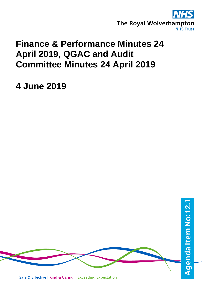

# **Finance & Performance Minutes 24 April 2019, QGAC and Audit Committee Minutes 24 April 2019**

**4 June 2019**



Safe & Effective | Kind & Caring | Exceeding Expectation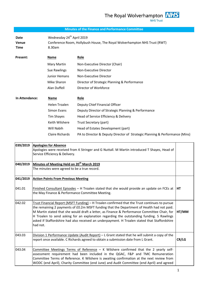## **Minutes of the Finance and Performance Committee**

**Date Wednesday 24<sup>th</sup> April 2019 Venue** Conference Room, Hollybush House, The Royal Wolverhampton NHS Trust (RWT) **Time** 8.30am

| Present: | <b>Name</b>          | Role                                         |
|----------|----------------------|----------------------------------------------|
|          | Mary Martin          | Non-Executive Director (Chair)               |
|          | Sue Rawlings         | Non-Executive Director                       |
|          | <b>Junior Hemans</b> | Non-Executive Director                       |
|          | Mike Sharon          | Director of Strategic Planning & Performance |
|          | Alan Duffell         | Director of Workforce                        |
|          |                      |                                              |

| In Attendance: | Name                   | <b>Role</b>                                                                 |
|----------------|------------------------|-----------------------------------------------------------------------------|
|                | Helen Troalen          | Deputy Chief Financial Officer                                              |
|                | Simon Evans            | Deputy Director of Strategic Planning & Performance                         |
|                | Tim Shayes             | Head of Service Efficiency & Delivery                                       |
|                | Keith Wilshere         | Trust Secretary (part)                                                      |
|                | Will Nabih             | Head of Estates Development (part)                                          |
|                | <b>Claire Richards</b> | PA to Director & Deputy Director of Strategic Planning & Performance (Mins) |

| 039/2019 | <b>Apologies for Absence</b><br>Apologies were received from K Stringer and G Nuttall. M Martin introduced T Shayes, Head of<br>Service Efficiency & Delivery.                                                                                                                                                                                                                                                                                                                                         |       |
|----------|--------------------------------------------------------------------------------------------------------------------------------------------------------------------------------------------------------------------------------------------------------------------------------------------------------------------------------------------------------------------------------------------------------------------------------------------------------------------------------------------------------|-------|
| 040/2019 | Minutes of Meeting Held on 20 <sup>th</sup> March 2019<br>The minutes were agreed to be a true record.                                                                                                                                                                                                                                                                                                                                                                                                 |       |
| 041/2019 | <b>Action Points From Previous Meeting</b>                                                                                                                                                                                                                                                                                                                                                                                                                                                             |       |
| 041.01   | Finished Consultant Episodes – H Troalen stated that she would provide an update on FCEs at<br>the May Finance & Performance Committee Meeting.                                                                                                                                                                                                                                                                                                                                                        | HT.   |
| 042.02   | Trust Financial Report (MSFT Funding) - H Troalen confirmed that the Trust continues to pursue<br>the remaining 2 payments of £0.2m MSFT funding that the Department of Health had not paid.<br>M Martin stated that she would draft a letter, as Finance & Performance Committee Chair, for<br>H Troalen to send asking for an explanation regarding the outstanding funding. S Rawlings<br>asked if Staffordshire had also received an underpayment. H Troalen stated that Staffordshire<br>had not. | HT/MM |
| 043.03   | Division 1 Performance Update (Audit Report) - L Grant stated that he will submit a copy of the<br>report once available. C Richards agreed to obtain a submission date from L Grant.                                                                                                                                                                                                                                                                                                                  | CR/LG |
| 043.04   | Committee Meetings Terms of Reference - K Wilshere confirmed that the 2 yearly self-<br>assessment requirement had been included in the QGAC, F&P and TMC Remuneration<br>Committee Terms of Reference. K Wilshere is awaiting confirmation at the next review from<br>WODC (end April), Charity Committee (end June) and Audit Committee (end April) and agreed                                                                                                                                       |       |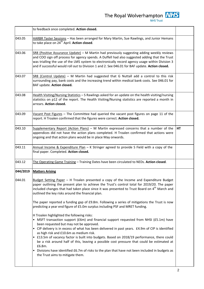| ×<br>۰<br>ı |  |
|-------------|--|
|             |  |

|          | to feedback once completed. Action closed.                                                                                                                                                                                                                                                                                                                                                                                                                                                                                                                                                                                                                                   |    |
|----------|------------------------------------------------------------------------------------------------------------------------------------------------------------------------------------------------------------------------------------------------------------------------------------------------------------------------------------------------------------------------------------------------------------------------------------------------------------------------------------------------------------------------------------------------------------------------------------------------------------------------------------------------------------------------------|----|
| 043.05   | HARBR Taster Sessions - Has been arranged for Mary Martin, Sue Rawlings, and Junior Hemans<br>to take place on 24 <sup>th</sup> April. <b>Action closed</b> .                                                                                                                                                                                                                                                                                                                                                                                                                                                                                                                |    |
| 043.06   | SR8 (Positive Assurance Update) - M Martin had previously suggesting adding weekly reviews<br>and COO sign off process for agency spends. A Duffell had also suggested adding that the Trust<br>was trialling the use of the LMS system to electronically record agency usage within Division 3<br>and if successful would roll out to Division 1 and 2. See 046.01 for BAF update. Action closed.                                                                                                                                                                                                                                                                           |    |
| 043.07   | SR8 (Control Update) - M Martin had suggested that G Nuttall add a control to this risk<br>surrounding pay, bank costs and the increasing trend within medical bank costs. See 046.01 for<br>BAF update. Action closed.                                                                                                                                                                                                                                                                                                                                                                                                                                                      |    |
| 043.08   | Health Visiting/Nursing Statistics - S Rawlings asked for an update on the health visiting/nursing<br>statistics on p12 of the report. The Health Visiting/Nursing statistics are reported a month in<br>arrears. Action closed.                                                                                                                                                                                                                                                                                                                                                                                                                                             |    |
| 043.09   | Vacant Post Figures - The Committee had queried the vacant post figures on page 11 of the<br>report. H Troalen confirmed that the figures were correct. Action closed.                                                                                                                                                                                                                                                                                                                                                                                                                                                                                                       |    |
| 043.10   | Supplementary Report (Action Plans) - M Martin expressed concerns that a number of the<br>appendices did not have the action plans completed. H Troalen confirmed that actions were<br>ongoing and that action plans would be in place May onwards.                                                                                                                                                                                                                                                                                                                                                                                                                          | HT |
| 043.11   | Annual Income & Expenditure Plan - K Stringer agreed to provide S Field with a copy of the<br>final paper. Completed. Action closed.                                                                                                                                                                                                                                                                                                                                                                                                                                                                                                                                         |    |
| 043.12   | The Operating Game Training - Training Dates have been circulated to NEDs. Action closed.                                                                                                                                                                                                                                                                                                                                                                                                                                                                                                                                                                                    |    |
| 044/2019 | <b>Matters Arising</b>                                                                                                                                                                                                                                                                                                                                                                                                                                                                                                                                                                                                                                                       |    |
| 044.01   | Budget Setting Paper - H Troalen presented a copy of the Income and Expenditure Budget<br>paper outlining the present plan to achieve the Trust's control total for 2019/20. The paper<br>included changes that had taken place since it was presented to Trust Board on 4 <sup>th</sup> March and<br>outlined the key risks around the financial plan.                                                                                                                                                                                                                                                                                                                      |    |
|          | The paper reported a funding gap of £9.8m. Following a series of mitigations the Trust is now<br>predicting a year end figure of £5.0m surplus including PSF and MRET funding.                                                                                                                                                                                                                                                                                                                                                                                                                                                                                               |    |
|          | H Troalen highlighted the following risks:<br>• MSFT transaction support (£6m) and financial support requested from NHSI (£5.1m) have<br>been requested but may not be approved.<br>• CIP delivery is in excess of what has been delivered in past years. £4.9m of CIP is identified<br>as high risk and £10.6m as medium risk.<br>• £13.5m of vacancy factor is built into budgets. Based on 2018/19 performance, there could<br>be a risk around half of this, leaving a possible cost pressure that could be estimated at<br>£6.8m.<br>Divisions have identified £6.7m of risks to the plan that have not been included in budgets as<br>the Trust aims to mitigate them. |    |
|          |                                                                                                                                                                                                                                                                                                                                                                                                                                                                                                                                                                                                                                                                              |    |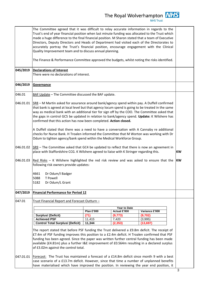**NHS Trust** 

The Committee agreed that it was difficult to relay accurate information in regards to the Trust's end of year financial position when last minute funding was allocated to the Trust which made a huge difference to the final financial position. M Sharon stated that a team of Executive Directors, Deputy Directors and Heads of Department had visited each of the Directorates to accurately portray the Trust's financial position, encourage engagement with the Clinical Quality Improvement team and to discuss annual planning. The Finance & Performance Committee approved the budgets, whilst noting the risks identified. **045/2019 Declarations of Interest** There were no declarations of interest. **046/2019 Governance** 046.01 046.01.01 046.01.02 046.01.03 BAF Update - The Committee discussed the BAF update.  $SSB - M$  Martin asked for assurance around bank/agency spend within pay. A Duffell confirmed that bank is agreed at local level but that agency locum spend is going to be treated in the same way as medical bank with an additional tier for sign off by the COO. The Committee asked that the gaps in control GC5 be updated in relation to bank/agency spend. **Update:** K Wilshere has confirmed that this action has now been completed. **Action closed.** A Duffell stated that there was a need to have a conversation with A Cannaby re additional checks for Nurse Bank. H Troalen informed the Committee that M Worton was working with Dr Odum to tighten agency/bank spend within the Medical Workforce Group. SR9 – The Committee asked that GC4 be updated to reflect that there is now an agreement in place with Staffordshire CCG. K Wilshere agreed to liaise with K Stringer regarding this. Red Risks – K Wilshere highlighted the red risk review and was asked to ensure that the following risk owners provide updates: 4661 Dr Odum/I Badger 5088 T Powell 5182 Dr Odum/L Grant **KW KW 047/2019 Financial Performance for Period 12** 047.01 047.01.01 Trust Financial Report and Forecast Outturn – The report stated that before PSF funding the Trust delivered a £9.8m deficit. The receipt of £7.4m of PSF funding improves this position to a £2.4m deficit. H Troalen confirmed that PSF funding has been agreed. Since the paper was written further central funding has been made available (£4.81m) plus a further I&E improvement of £0.564m resulting in a declared surplus of £3.02m against the control total. Forecast: The Trust has maintained a forecast of a £14.8m deficit since month 9 with a best case scenario of a £13.7m deficit. However, since that time a number of unplanned benefits have materialised which have improved the position. In reviewing the year end position, it **Year to Date Plan £'000 Actual £'000 Variance £'000 Surplus/ (Deficit) (71) (9,773) (9,702) Achieved PSF** 11,415 7,420 (3,995) **Control Total Surplus/ (Deficit) 11,344 (2,353) (13,697)**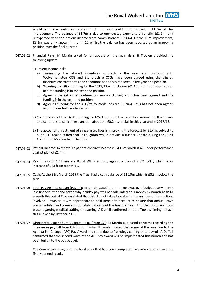|           | would be a reasonable expectation that the Trust could have forecast c. £1.3m of this<br>improvement. The balance of £3.7m is due to unexpected expenditure benefits (£1.1m) and<br>unexpected year end patient income from commissioners (£2.6m). Of the £5m improvement,<br>£3.1m was only known in month 12 whilst the balance has been reported as an improving<br>position over the final quarter.                                                                                                                                                                                                                                                                                                                                                                                                                                                                                              |  |
|-----------|------------------------------------------------------------------------------------------------------------------------------------------------------------------------------------------------------------------------------------------------------------------------------------------------------------------------------------------------------------------------------------------------------------------------------------------------------------------------------------------------------------------------------------------------------------------------------------------------------------------------------------------------------------------------------------------------------------------------------------------------------------------------------------------------------------------------------------------------------------------------------------------------------|--|
| 047.01.02 | Financial Risks: M Martin asked for an update on the main risks. H Troalen provided the<br>following update:                                                                                                                                                                                                                                                                                                                                                                                                                                                                                                                                                                                                                                                                                                                                                                                         |  |
|           | 1) Patient income risks<br>Transacting the aligned incentives contracts - the year end positions with<br>a)<br>Wolverhampton CCG and Staffordshire CCGs have been agreed using the aligned<br>incentive contract terms and conditions and this is reflected in the year end position.<br>b) Securing transition funding for the 2017/18 ward closure ( $f1.1m$ ) - this has been agreed<br>and the funding is in the year end position.<br>c) Agreeing the return of readmissions money (£0.9m) - this has been agreed and the<br>funding is in the year end position.<br>d) Agreeing funding for the AEC/frailty model of care (£0.9m) - this has not been agreed<br>and is under further discussion.<br>2) Confirmation of the £6.0m funding for MSFT support. The Trust has received £5.8m in cash<br>and continues to seek an explanation about the £0.2m shortfall in this year and in 2017/18. |  |
|           | 3) The accounting treatment of single asset lives is improving the forecast by £1.4m, subject to<br>audit. H Troalen stated that D Loughton would provide a further update during the Audit<br>Committee Meeting later that day.                                                                                                                                                                                                                                                                                                                                                                                                                                                                                                                                                                                                                                                                     |  |
| 047.01.03 | Patient Income: In month 12 patient contract income is £40.8m which is an under performance<br>against plan of £1.4m.                                                                                                                                                                                                                                                                                                                                                                                                                                                                                                                                                                                                                                                                                                                                                                                |  |
| 047.01.04 | Pay: In month 12 there are 8,654 WTEs in post, against a plan of 8,831 WTE, which is an<br>increase of 163 from month 11.                                                                                                                                                                                                                                                                                                                                                                                                                                                                                                                                                                                                                                                                                                                                                                            |  |
| 047.01.05 | Cash: At the 31st March 2019 the Trust had a cash balance of £16.0m which is £3.3m below the<br>plan.                                                                                                                                                                                                                                                                                                                                                                                                                                                                                                                                                                                                                                                                                                                                                                                                |  |
| 047.01.06 | Total Pay Against Budget (Page 7): M Martin stated that the Trust was over budget every month<br>last financial year and asked why holiday pay was not calculated on a month by month basis to<br>smooth this out. H Troalen stated that this did not take place due to the number of transactions<br>involved. However, it was appropriate to hold people to account to ensure that annual leave<br>was scheduled and taken appropriately throughout the financial year. A further discussion took<br>place regarding medical staffing e-rostering. A Duffell confirmed that the Trust is aiming to have<br>this in place by October 2019.                                                                                                                                                                                                                                                          |  |
| 047.01.07 | Directorate Expenditure Budgets - Pay (Page 16): M Martin expressed concerns regarding the<br>increase in pay bill from £328m to £364m. H Troalen stated that some of this was due to the<br>Agenda For Change (AFC) Pay Award and some due to Pathology coming onto payroll. A Duffell<br>confirmed that the second wave of the AFC pay award will be implemented this month and has<br>been built into the pay budget.                                                                                                                                                                                                                                                                                                                                                                                                                                                                             |  |
|           | The Committee recognised the hard work that had been completed by everyone to achieve the<br>final year end result.                                                                                                                                                                                                                                                                                                                                                                                                                                                                                                                                                                                                                                                                                                                                                                                  |  |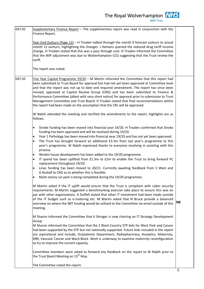| 047.02 | Supplementary Finance Report - The supplementary report was read in conjunction with the<br>Finance Report.                                                                                                                                                                                                                                                                                                                                                                                                                                                                                                                                                                                                                                                                                                                                                                                                                                                                                                                                                                                                                                                                                                                                                                                                                                                                                                                                      |           |
|--------|--------------------------------------------------------------------------------------------------------------------------------------------------------------------------------------------------------------------------------------------------------------------------------------------------------------------------------------------------------------------------------------------------------------------------------------------------------------------------------------------------------------------------------------------------------------------------------------------------------------------------------------------------------------------------------------------------------------------------------------------------------------------------------------------------------------------------------------------------------------------------------------------------------------------------------------------------------------------------------------------------------------------------------------------------------------------------------------------------------------------------------------------------------------------------------------------------------------------------------------------------------------------------------------------------------------------------------------------------------------------------------------------------------------------------------------------------|-----------|
|        | Year End Outturn (Page 12) - H Troalen talked through the month 9 forecast outturn to actual<br>month 12 outturn, highlighting the changes. J Hemans queried the reduced drug tariff income<br>change. H Troalen stated that this was a pass through cost. H Troalen informed the Committee<br>that the WIP adjustment was due to Wolverhampton CCG suggesting that the Trust review the<br>tariff.                                                                                                                                                                                                                                                                                                                                                                                                                                                                                                                                                                                                                                                                                                                                                                                                                                                                                                                                                                                                                                              |           |
|        | The report was noted.                                                                                                                                                                                                                                                                                                                                                                                                                                                                                                                                                                                                                                                                                                                                                                                                                                                                                                                                                                                                                                                                                                                                                                                                                                                                                                                                                                                                                            |           |
| 047.03 | Five Year Capital Programme $19/20$ – M Martin informed the Committee that this report had<br>been submitted to Trust Board for approval but had not yet been approved at Committee level<br>and that the report was not up to date and required amendment. The report has since been<br>revised, approved at Capital Review Group (CRG) and has been submitted to Finance &<br>Performance Committee (albeit with very short notice) for approval prior to submission to Trust<br>Management Committee and Trust Board. H Troalen stated that final recommendations within<br>the report had been made on the assumption that the CRL will be approved.                                                                                                                                                                                                                                                                                                                                                                                                                                                                                                                                                                                                                                                                                                                                                                                         |           |
|        | W Nabih attended the meeting and clarified the amendments to the report, highlights are as<br>follows:                                                                                                                                                                                                                                                                                                                                                                                                                                                                                                                                                                                                                                                                                                                                                                                                                                                                                                                                                                                                                                                                                                                                                                                                                                                                                                                                           |           |
|        | Stroke funding has been moved into financial year 19/20. H Troalen confirmed that Stroke<br>٠<br>funding has been approved and will be received during 19/20.<br>Year 1 Pathology has been moved into financial year 19/20 and has not yet been approved.<br>$\bullet$<br>The Trust has brought forward an additional £3.3m from last year's programme to this<br>$\bullet$<br>year's programme. W Nabih expressed thanks to everyone involving in assisting with this<br>process.<br>Wrekin house development has been added to the 19/20 programme.<br>$\bullet$<br>IT spend has been uplifted from £1.3m to £2m to enable the Trust to bring forward PC<br>$\bullet$<br>replacement throughout 19/20.<br>Linac funding has been moved to 20/21. Currently awaiting feedback from S West and<br>$\bullet$<br>G Nuttall to CRG as to whether this is feasible.<br>Multi-storey car park is being completed during the 19/20 programme.<br>$\bullet$<br>M Martin asked if the IT uplift would ensure that the Trust is compliant with cyber security<br>requirements. M Martin suggested a benchmarking exercise take place to ensure this was on<br>par with other organisations. A Duffell stated that other IT investment had been made outside<br>of the IT budget such as e-rostering etc. M Martin asked that N Bruce provide a balanced<br>overview on where the IMT funding would be utilised to the Committee via email outside of this | <b>NB</b> |
|        | meeting.<br>M Sharon informed the Committee that K Stringer is now chairing an IT Strategy Development<br>Group<br>M Sharon informed the Committee that the 2 Black Country STP bids for West Park and Cancer<br>had been supported by the STP but not nationally supported. Future bids included in the report<br>are aspirational and include; Outpatients Department, Radiopharmacy, Asceptics, Maternity,<br>MRI, Vascular Cancer and Ward Block. Work is underway to examine maternity reconfiguration<br>to try to improve the current capacity.                                                                                                                                                                                                                                                                                                                                                                                                                                                                                                                                                                                                                                                                                                                                                                                                                                                                                           |           |
|        | Committee members were asked to forward any feedback on the report to W Nabih prior to<br>the Trust Board Meeting on 13 <sup>th</sup> May.                                                                                                                                                                                                                                                                                                                                                                                                                                                                                                                                                                                                                                                                                                                                                                                                                                                                                                                                                                                                                                                                                                                                                                                                                                                                                                       |           |
|        | The Committee noted the report.                                                                                                                                                                                                                                                                                                                                                                                                                                                                                                                                                                                                                                                                                                                                                                                                                                                                                                                                                                                                                                                                                                                                                                                                                                                                                                                                                                                                                  |           |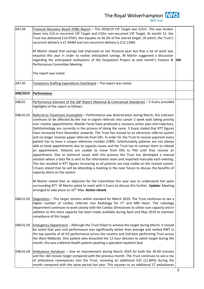| 047.04    | Financial Recovery Board (FRB) Report - The 2018/19 CIP Target was £25m. This was broken<br>down into £15.m recurrent CIP Target and £10m non-recurrent CIP Target. At month 12, the<br>Trust has delivered £14.070m, this equates to 56.3% of the overall target. Of which, the Trust's<br>recurrent delivery is £1.944M and non-recurrent delivery is £12.126M.                                                                                                                                                                                                                                                                                                                                                                                                                                                                                                                                                                                                                                                                                                                                                                                                                                                                                                                                                                  |           |
|-----------|------------------------------------------------------------------------------------------------------------------------------------------------------------------------------------------------------------------------------------------------------------------------------------------------------------------------------------------------------------------------------------------------------------------------------------------------------------------------------------------------------------------------------------------------------------------------------------------------------------------------------------------------------------------------------------------------------------------------------------------------------------------------------------------------------------------------------------------------------------------------------------------------------------------------------------------------------------------------------------------------------------------------------------------------------------------------------------------------------------------------------------------------------------------------------------------------------------------------------------------------------------------------------------------------------------------------------------|-----------|
|           | M Martin stated that savings had improved on last financial year but that a lot of work was<br>required this year in order to realise anticipated savings. M Martin suggested a discussion<br>regarding the anticipated realisations of the Outpatient Project at next month's Finance &<br>Performance Committee Meeting                                                                                                                                                                                                                                                                                                                                                                                                                                                                                                                                                                                                                                                                                                                                                                                                                                                                                                                                                                                                          | <b>GN</b> |
|           | The report was noted.                                                                                                                                                                                                                                                                                                                                                                                                                                                                                                                                                                                                                                                                                                                                                                                                                                                                                                                                                                                                                                                                                                                                                                                                                                                                                                              |           |
| 047.05    | Temporary Staffing Expenditure Dashboard - The report was noted.                                                                                                                                                                                                                                                                                                                                                                                                                                                                                                                                                                                                                                                                                                                                                                                                                                                                                                                                                                                                                                                                                                                                                                                                                                                                   |           |
| 048/2019  | Performance                                                                                                                                                                                                                                                                                                                                                                                                                                                                                                                                                                                                                                                                                                                                                                                                                                                                                                                                                                                                                                                                                                                                                                                                                                                                                                                        |           |
| 048.01    | Performance Element of the IQP Report (National & Contractual Standards) - S Evans provided<br>highlights of the report as follows:                                                                                                                                                                                                                                                                                                                                                                                                                                                                                                                                                                                                                                                                                                                                                                                                                                                                                                                                                                                                                                                                                                                                                                                                |           |
| 048.01.01 | Referral to Treatment Incomplete - Performance saw deterioration during March, this indicator<br>continues to be affected by the rise in urgent referrals into cancer 2 week wait taking priority<br>over routine appointments. Maxillo Facial have produced a recovery action plan and trajectory,<br>Ophthalmology are currently in the process of doing the same. S Evans stated that RTT figures<br>have increased from December onwards. The Trust has moved to an electronic referral system<br>and no longer receives paper referrals from GPs. In order for the Trust to receive payment every<br>patient has to have a unique reference number (UBR). Unfortunately patients are not always<br>able to book appointments due to capacity issues and the Trust has to contact them to rebook<br>an appointment. Patients are unable to move from ERS to PAS until they receive an<br>appointment. Due to technical issues with this process the Trust has developed a manual<br>solution where a data file is sent to the information team and imported manually each evening.<br>This has resulted in RTT figures increasing as all patients are now visible on the revised system.<br>S Evans stated that he will be attending a meeting in the near future to discuss the benefits of<br>capacity alerts on the system. |           |
|           | M Martin stated that an objective for the Committee this year was to understand hot spots<br>surrounding RTT. M Martin asked to meet with S Evans to discuss this further. Update: Meeting<br>arranged to take place on 16 <sup>th</sup> May. Action closed.                                                                                                                                                                                                                                                                                                                                                                                                                                                                                                                                                                                                                                                                                                                                                                                                                                                                                                                                                                                                                                                                       |           |
| 048.01.02 | Diagnostics - This target remains within standard for March 2019. The Trust continues to see a<br>higher number of cardiac referrals into Radiology for CT and MRI Heart. The radiology<br>department continues to work closely with the Cardiac Directorate to utilise scan capacity and in<br>addition to this extra capacity has been made available during April and May 2019 to maintain<br>compliance of this target.                                                                                                                                                                                                                                                                                                                                                                                                                                                                                                                                                                                                                                                                                                                                                                                                                                                                                                        |           |
| 048.01.03 | Emergency Department - Although the Trust failed to achieve the target during March, it should<br>be noted that year end performance was significantly better than average and ranked RWT in<br>the top quartile of all ED performance across the country and 2nd best performing Trust across<br>the West Midlands. One patient who breached the 12 hour decision to admit target during the<br>month, this was a Mental Health patient awaiting a specialist inpatient bed.                                                                                                                                                                                                                                                                                                                                                                                                                                                                                                                                                                                                                                                                                                                                                                                                                                                      |           |
| 048.01.04 | Ambulance Handover - Saw an improvement during March 2019 for both the 30-60 minutes<br>and the >60 minute target compared with the previous month. The Trust continues to see a rise<br>of ambulance conveyances into the Trust, receiving an additional 531 (11.84%) during the<br>month compared with the same period last year. This equates to an additional 17 ambulances                                                                                                                                                                                                                                                                                                                                                                                                                                                                                                                                                                                                                                                                                                                                                                                                                                                                                                                                                    |           |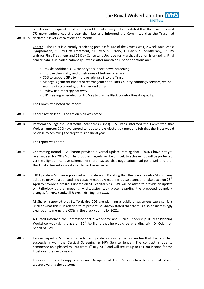The Royal Wolverhampton **NHS** per day or the equivalent of 3.5 days additional activity. S Evans stated that the Trust received 7% more ambulances this year than last and informed the Committee that the Trust had declared 2 level 4 escalations this month.

Cancer – The Trust is currently predicting possible failure of the 2 week wait, 2 week wait Breast Symptomatic, 31 Day First Treatment, 31 Day Sub Surgery, 31 Day Sub Radiotherapy, 62 Day wait for First Treatment and 62 Day Consultant Upgrade for March, validation is on-going. Final cancer data is uploaded nationally 6 weeks after month end. Specific actions are:-

- Provide additional CTC capacity to support bowel screening. • Improve the quality and timeframes of tertiary referrals.
	- CCG to support GP's to improve referrals into the Trust.
	- Manage significant impact of rearrangement of Black Country pathology services, whilst maintaining current good turnaround times.
	- Review Radiotherapy pathway.

048.03 Cancer Action Plan – The action plan was noted.

- STP meeting scheduled for 1st May to discuss Black Country Breast capacity.
- The Committee noted the report.

048.01.05

- 048.04 Performance against Contractual Standards (Fines) S Evans informed the Committee that Wolverhampton CCG have agreed to reduce the e-discharge target and felt that the Trust would be close to achieving the target this financial year.
	- The report was noted.
- 048.06  $\big|$  Contracting Round M Sharon provided a verbal update, stating that CQUINs have not yet been agreed for 2019/20. The proposed targets will be difficult to achieve but will be protected via the Aligned Incentive Scheme. M Sharon stated that negotiations had gone well and that the Trust achieved as good a settlement as expected.
- 048.07 STP Update M Sharon provided an update on STP stating that the Black Country STP is being asked to provide a demand and capacity model. A meeting is also planned to take place on  $25<sup>th</sup>$ April to provide a progress update on STP capital bids. RWT will be asked to provide an update on Pathology at that meeting. A discussion took place regarding the proposed boundary changes for NHS Sandwell & West Birmingham CCG.

M Sharon reported that Staffordshire CCG are planning a public engagement exercise, it is unclear what this is in relation to at present. M Sharon stated that there is also an increasingly clear path to merge the CCGs in the black country by 2021.

A Duffell informed the Committee that a Workforce and Clinical Leadership 10 Year Planning Workshop was taking place on  $30<sup>th</sup>$  April and that he would be attending with Dr Odum on behalf of RWT.

048.08  $\vert$ Tender Report – M Sharon provided an update, informing the Committee that the Trust had successfully won the Cervical Screening & HPV Service tender. The contract is due to commence on a phased roll out from  $1<sup>st</sup>$  July 2019 and will secure up to £51.3m income for the Trust over the next 7 years.

Tenders for Physiotherapy Services and Occupational Health Services have been submitted and we are awaiting the outcome.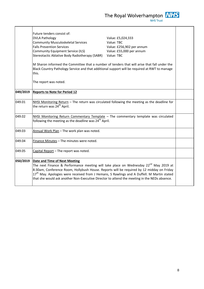|          | Future tenders consist of:                                                                                                                                                                                                                                                                                                                                                                              |                           |  |
|----------|---------------------------------------------------------------------------------------------------------------------------------------------------------------------------------------------------------------------------------------------------------------------------------------------------------------------------------------------------------------------------------------------------------|---------------------------|--|
|          | <b>DVLA Pathology</b>                                                                                                                                                                                                                                                                                                                                                                                   | Value: £5,024,333         |  |
|          | <b>Community Musculoskeletal Services</b>                                                                                                                                                                                                                                                                                                                                                               | Value: TBC                |  |
|          | <b>Falls Prevention Services</b>                                                                                                                                                                                                                                                                                                                                                                        | Value: £256,902 per annum |  |
|          | <b>Community Equipment Service (ILS)</b>                                                                                                                                                                                                                                                                                                                                                                | Value: £55,000 per annum  |  |
|          | Stereotactic Ablative Body Radiotherapy (SABR)                                                                                                                                                                                                                                                                                                                                                          | Value: TBC                |  |
|          | M Sharon informed the Committee that a number of tenders that will arise that fall under the<br>Black Country Pathology Service and that additional support will be required at RWT to manage<br>this.                                                                                                                                                                                                  |                           |  |
|          | The report was noted.                                                                                                                                                                                                                                                                                                                                                                                   |                           |  |
| 049/2019 | <b>Reports to Note for Period 12</b>                                                                                                                                                                                                                                                                                                                                                                    |                           |  |
| 049.01   | NHSI Monitoring Return - The return was circulated following the meeting as the deadline for<br>the return was 24 <sup>th</sup> April.                                                                                                                                                                                                                                                                  |                           |  |
| 049.02   | NHSI Monitoring Return Commentary Template - The commentary template was circulated<br>following the meeting as the deadline was 24 <sup>th</sup> April.                                                                                                                                                                                                                                                |                           |  |
| 049.03   | Annual Work Plan - The work plan was noted.                                                                                                                                                                                                                                                                                                                                                             |                           |  |
| 049.04   | Finance Minutes - The minutes were noted.                                                                                                                                                                                                                                                                                                                                                               |                           |  |
| 049.05   | Capital Report - The report was noted.                                                                                                                                                                                                                                                                                                                                                                  |                           |  |
| 050/2019 | <b>Date and Time of Next Meeting</b>                                                                                                                                                                                                                                                                                                                                                                    |                           |  |
|          | The next Finance & Performance meeting will take place on Wednesday 22 <sup>nd</sup> May 2019 at<br>8:30am, Conference Room, Hollybush House. Reports will be required by 12 midday on Friday<br>17 <sup>th</sup> May. Apologies were received from J Hemans, S Rawlings and A Duffell. M Martin stated<br>that she would ask another Non-Executive Director to attend the meeting in the NEDs absence. |                           |  |
|          |                                                                                                                                                                                                                                                                                                                                                                                                         |                           |  |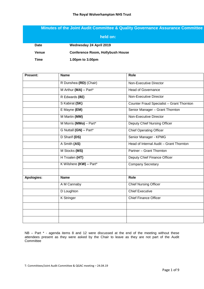## **Minutes of the Joint Audit Committee & Quality Governance Assurance Committee**

| held on:     |                                         |  |  |
|--------------|-----------------------------------------|--|--|
| <b>Date</b>  | Wednesday 24 April 2019                 |  |  |
| <b>Venue</b> | <b>Conference Room, Hollybush House</b> |  |  |
| Time         | 1.00pm to 3.00pm                        |  |  |

| Present:   | <b>Name</b>             | Role                                      |
|------------|-------------------------|-------------------------------------------|
|            | R Dunshea (RD) (Chair)  | <b>Non-Executive Director</b>             |
|            | M Arthur (MA) - Part*   | <b>Head of Governance</b>                 |
|            | R Edwards (RE)          | Non-Executive Director                    |
|            | S Kabirat (SK)          | Counter Fraud Specialist - Grant Thornton |
|            | E Mayne (EM)            | Senior Manager - Grant Thornton           |
|            | M Martin (MM)           | Non-Executive Director                    |
|            | M Morris (MMo) - Part*  | Deputy Chief Nursing Officer              |
|            | G Nuttall (GN) - Part*  | <b>Chief Operating Officer</b>            |
|            | D Sharif (DS)           | Senior Manager - KPMG                     |
|            | A Smith (AS)            | Head of Internal Audit - Grant Thornton   |
|            | M Stocks (MS)           | Partner - Grant Thornton                  |
|            | H Troalen (HT)          | Deputy Chief Finance Officer              |
|            | K Wilshere (KW) - Part* | <b>Company Secretary</b>                  |
|            |                         |                                           |
| Apologies: | <b>Name</b>             | Role                                      |
|            | A M Cannaby             | <b>Chief Nursing Officer</b>              |
|            | D Loughton              | <b>Chief Executive</b>                    |
|            | <b>K</b> Stringer       | <b>Chief Finance Officer</b>              |
|            |                         |                                           |
|            |                         |                                           |
|            |                         |                                           |

NB – Part \* - agenda items 8 and 12 were discussed at the end of the meeting without these attendees present as they were asked by the Chair to leave as they are not part of the Audit Committee<sup>1</sup>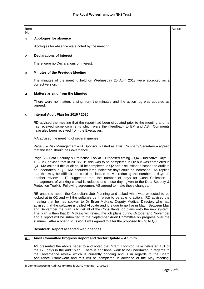| Item<br><b>No</b>       |                                                                                                                                                                                                                                                                                                                                                                                                                                                                                                                                                                                                                                                                                                                            | Action |
|-------------------------|----------------------------------------------------------------------------------------------------------------------------------------------------------------------------------------------------------------------------------------------------------------------------------------------------------------------------------------------------------------------------------------------------------------------------------------------------------------------------------------------------------------------------------------------------------------------------------------------------------------------------------------------------------------------------------------------------------------------------|--------|
| $\mathbf{1}$            | Apologies for absence                                                                                                                                                                                                                                                                                                                                                                                                                                                                                                                                                                                                                                                                                                      |        |
|                         | Apologies for absence were noted by the meeting.                                                                                                                                                                                                                                                                                                                                                                                                                                                                                                                                                                                                                                                                           |        |
| $\mathbf{2}$            | <b>Declarations of Interest</b>                                                                                                                                                                                                                                                                                                                                                                                                                                                                                                                                                                                                                                                                                            |        |
|                         | There were no Declarations of Interest.                                                                                                                                                                                                                                                                                                                                                                                                                                                                                                                                                                                                                                                                                    |        |
| 3                       | <b>Minutes of the Previous Meeting</b>                                                                                                                                                                                                                                                                                                                                                                                                                                                                                                                                                                                                                                                                                     |        |
|                         | The minutes of the meeting held on Wednesday 25 April 2018 were accepted as a<br>correct version.                                                                                                                                                                                                                                                                                                                                                                                                                                                                                                                                                                                                                          |        |
| $\overline{\mathbf{4}}$ | <b>Matters arising from the Minutes</b>                                                                                                                                                                                                                                                                                                                                                                                                                                                                                                                                                                                                                                                                                    |        |
|                         | There were no matters arising from the minutes and the action log was updated as<br>agreed.                                                                                                                                                                                                                                                                                                                                                                                                                                                                                                                                                                                                                                |        |
| 5                       | Internal Audit Plan for 2019 / 2020                                                                                                                                                                                                                                                                                                                                                                                                                                                                                                                                                                                                                                                                                        |        |
|                         | RD advised the meeting that the report had been circulated prior to the meeting and he<br>has received some comments which were then feedback to EM and AS. Comments<br>have also been received from the Executives.                                                                                                                                                                                                                                                                                                                                                                                                                                                                                                       |        |
|                         | MA advised the meeting of several queries:                                                                                                                                                                                                                                                                                                                                                                                                                                                                                                                                                                                                                                                                                 |        |
|                         | Page 5 - Risk Management - IA Sponsor is listed as Trust Company Secretary - agreed<br>that the lead should be Governance.                                                                                                                                                                                                                                                                                                                                                                                                                                                                                                                                                                                                 |        |
|                         | Page 5 - Data Security & Protection Toolkit - Proposed timing - Q4 - Indicative Days -<br>10 - MA advised that in 2018/2019 this was to be completed in Q2 but was completed in<br>Q4. MA asked if this audit could be completed in Q2 and discussion to scope the audit to<br>be undertaken in Q1. MA enquired if the indicative days could be increased. AS replied<br>that this may be difficult but could be looked at, via reducing the number of days on<br>another review. HT suggested that the number of days for Cash Collection<br>management of working capital is reduced and these days given to the Data Security &<br>Protection Toolkit. Following agreement AS agreed to make these changes.             |        |
|                         | RE enquired about the Consultant Job Planning and asked what was expected to be<br>looked at in Q2 and will the software be in place to be able to action. RD advised the<br>meeting that he had spoken to Dr Brian McKaig, Deputy Medical Director, who had<br>advised that the software is called Allocate and it is due to go live in May. Between May<br>and September the plan is to get all of the Consultants job plans onto the new system.<br>The plan is then that Dr McKaig will review the job plans during October and November<br>and a report will be submitted to the September Audit Committee on progress over the<br>summer. After a brief discussion it was agreed to alter the proposed timing to Q3. |        |
|                         | Resolved: Report accepted with changes                                                                                                                                                                                                                                                                                                                                                                                                                                                                                                                                                                                                                                                                                     |        |
| 5.1                     | Audit Committee Progress Report and Sector Update - A Smith                                                                                                                                                                                                                                                                                                                                                                                                                                                                                                                                                                                                                                                                |        |
|                         | AS presented the above paper to and noted that Grant Thornton have delivered 151 of<br>the 175 days in the audit plan. There is additional work to be undertaken in regards to<br>the Governance review which is currently ongoing and is in regards to the Board<br>Assurance Framework and this will be completed in advance of the May meeting.                                                                                                                                                                                                                                                                                                                                                                         |        |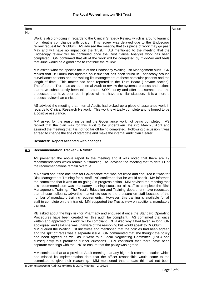| Item<br>No |                                                                                                                                                                                                                                                                                                                                                                                                                                                                                                                                                                                                                                                                                                                                                                                             | Action |
|------------|---------------------------------------------------------------------------------------------------------------------------------------------------------------------------------------------------------------------------------------------------------------------------------------------------------------------------------------------------------------------------------------------------------------------------------------------------------------------------------------------------------------------------------------------------------------------------------------------------------------------------------------------------------------------------------------------------------------------------------------------------------------------------------------------|--------|
|            | Work is also on-going in regards to the Clinical Strategy Review which is around learning<br>from deaths compliance with policy. This review was delayed due to the Endoscopy<br>review request by Dr Odum. AS advised the meeting that this piece of work may go past<br>May and will have no impact on the Trust. AS mentioned to the meeting that the<br>Endoscopy review will be continued once the Root Cause Analysis work has been<br>completed. GN confirmed that all of the work will be completed by mid-May and feels<br>that June would be a good time to continue the review.                                                                                                                                                                                                  |        |
|            | MM asked what the specific focus of the Endoscopy Waiting List Management audit. GN<br>replied that Dr Odum has updated an issue that has been found in Endoscopy around<br>surveillance patients and the waiting list management of those particular patients and the<br>length of time. This matter had been reported to the Trust Board (private section).<br>Therefore the Trust has asked Internal Audit to review the systems, process and actions<br>that have subsequently been taken around SOP's to try and offer reassurance that the<br>processes that have been put in place will not have a similar situation. It is a more a<br>process review than clinical.                                                                                                                |        |
|            | AS advised the meeting that Internal Audits had picked up a piece of assurance work in<br>regards to Clinical Research Network. This work is virtually complete and is hoped to be<br>a positive assurance.                                                                                                                                                                                                                                                                                                                                                                                                                                                                                                                                                                                 |        |
|            | MM asked for the reasoning behind the Governance work not being completed. AS<br>replied that the plan was for this audit to be undertaken late into March / April and<br>assured the meeting that it is not too far off being completed. Following discussion it was<br>agreed to change the title of start date and make the internal audit plan clearer.                                                                                                                                                                                                                                                                                                                                                                                                                                 |        |
|            | Resolved: Report accepted with changes                                                                                                                                                                                                                                                                                                                                                                                                                                                                                                                                                                                                                                                                                                                                                      |        |
| 5.2        | <b>Recommendation Tracker - A Smith</b>                                                                                                                                                                                                                                                                                                                                                                                                                                                                                                                                                                                                                                                                                                                                                     |        |
|            | AS presented the above report to the meeting and it was noted that there are 19<br>recommendations which remain outstanding. AS advised the meeting that to date 11 of<br>the recommendations remain overdue.                                                                                                                                                                                                                                                                                                                                                                                                                                                                                                                                                                               |        |
|            | MA asked about the one item for Governance that was not listed and enquired if it was for<br>Risk Management Training for all staff. AS confirmed that he would check. MA informed<br>the committee that it was an on-going / in progress action. MM advised the meeting that<br>this recommendation was mandatory training status for all staff to complete the Risk<br>Management Training. The Trust's Education and Training department have requested<br>that all user bulletins, advertise market etc due to the pressure on staff because of the<br>number of mandatory training requirements. However, this training is available for all<br>staff to complete on the Intranet. MM supported the Trust's view on additional mandatory<br>training.                                  |        |
|            | RE asked about the high risk for Pharmacy and enquired if once the Standard Operating<br>Procedures have been created will this audit be compliant. AS confirmed that once<br>written and approved this audit will be compliant. RE asked why it had taken so long, GN<br>apologised and said she was unaware of the reasoning but would speak to Dr Odum.<br>MM queried the Waiting List Initiatives and mentioned that the policies had been agreed<br>and the split off rates was a separate issue. GN commented that she thought the policy<br>had been agreed as well as it went to a Local Negotiating Committee (LNC) and<br>subsequently this produced further questions. GN continued that there have been<br>separate meetings with the LNC to ensure that the policy was agreed. |        |
|            | MM continued that at a previous Audit meeting that any high risk recommendation which<br>had missed its implementation date that the officer responsible would come to the<br>committee to give their reasoning. MM mentioned that to date this had not been                                                                                                                                                                                                                                                                                                                                                                                                                                                                                                                                |        |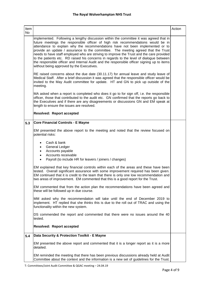| Item<br>No |                                                                                                                                                                                                                                                                                                                                                                                                                                                                                                                                                                                                                                                                                    | Action |
|------------|------------------------------------------------------------------------------------------------------------------------------------------------------------------------------------------------------------------------------------------------------------------------------------------------------------------------------------------------------------------------------------------------------------------------------------------------------------------------------------------------------------------------------------------------------------------------------------------------------------------------------------------------------------------------------------|--------|
|            | implemented. Following a lengthy discussion within the committee it was agreed that in<br>future meetings the responsible officer of high risk recommendations would be in<br>attendance to explain why the recommendations have not been implemented or to<br>provide an update / assurance to the committee. The meeting agreed that the Trust<br>needs to have staff employed who are striving to improve the Trust and the care provided<br>to the patients etc. RD raised his concerns in regards to the level of dialogue between<br>the responsible officer and Internal Audit and the responsible officer signing up to items<br>without being approved by the Executives. |        |
|            | RE raised concerns about the due date (30.11.17) for annual leave and study leave of<br>Medical Staff. After a brief discussion it was agreed that the responsible officer would be<br>invited to the May Audit committee for update. HT and GN to pick up outside of the<br>meeting.                                                                                                                                                                                                                                                                                                                                                                                              |        |
|            | MA asked when a report is completed who does it go to for sign off, i.e. the responsible<br>officer, those that contributed to the audit etc. GN confirmed that the reports go back to<br>the Executives and if there are any disagreements or discussions GN and EM speak at<br>length to ensure the issues are resolved.                                                                                                                                                                                                                                                                                                                                                         |        |
|            | <b>Resolved: Report accepted</b>                                                                                                                                                                                                                                                                                                                                                                                                                                                                                                                                                                                                                                                   |        |
| 5.3        | <b>Core Financial Controls - E Mayne</b>                                                                                                                                                                                                                                                                                                                                                                                                                                                                                                                                                                                                                                           |        |
|            | EM presented the above report to the meeting and noted that the review focused on<br>potential risks:                                                                                                                                                                                                                                                                                                                                                                                                                                                                                                                                                                              |        |
|            | Cash & bank<br>$\bullet$<br><b>General Ledger</b><br>$\bullet$<br>Accounts payable<br>$\bullet$<br>Accounts receivable<br>$\bullet$<br>Payroll (to include HR for leavers / joiners / changes)<br>$\bullet$                                                                                                                                                                                                                                                                                                                                                                                                                                                                        |        |
|            | EM explained that key financial controls within each of the areas and these have been<br>tested. Overall significant assurance with some improvement required has been given.<br>EM continued that it is credit to the team that there is only one low recommendation and<br>two areas of improvement. EM commented that this is a good report for the Trust.                                                                                                                                                                                                                                                                                                                      |        |
|            | EM commented that from the action plan the recommendations have been agreed and<br>these will be followed up in due course.                                                                                                                                                                                                                                                                                                                                                                                                                                                                                                                                                        |        |
|            | MM asked why the recommendation will take until the end of December 2019 to<br>implement. HT replied that she thinks this is due to the roll out of TRAC and using the<br>functionality within the new system.                                                                                                                                                                                                                                                                                                                                                                                                                                                                     |        |
|            | DS commended the report and commented that there were no issues around the 40<br>tested.                                                                                                                                                                                                                                                                                                                                                                                                                                                                                                                                                                                           |        |
|            | <b>Resolved: Report accepted</b>                                                                                                                                                                                                                                                                                                                                                                                                                                                                                                                                                                                                                                                   |        |
| 5.4        | Data Security & Protection Toolkit - E Mayne                                                                                                                                                                                                                                                                                                                                                                                                                                                                                                                                                                                                                                       |        |
|            | EM presented the above report and commented that it is a longer report as it is a more<br>detailed.                                                                                                                                                                                                                                                                                                                                                                                                                                                                                                                                                                                |        |
|            | EM reminded the meeting that there has been previous discussions already held at Audit<br>Committee about the context and the information is a new set of guidelines for the Trust.                                                                                                                                                                                                                                                                                                                                                                                                                                                                                                |        |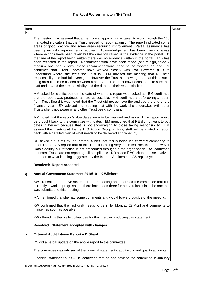| Item<br><b>No</b>       |                                                                                                                                                                                                                                                                                                                                                                                                                                                                                                                                                                                                                                                                                                                                                                                                                                                                                                                                                                                                                                                                                                                                                           | Action |
|-------------------------|-----------------------------------------------------------------------------------------------------------------------------------------------------------------------------------------------------------------------------------------------------------------------------------------------------------------------------------------------------------------------------------------------------------------------------------------------------------------------------------------------------------------------------------------------------------------------------------------------------------------------------------------------------------------------------------------------------------------------------------------------------------------------------------------------------------------------------------------------------------------------------------------------------------------------------------------------------------------------------------------------------------------------------------------------------------------------------------------------------------------------------------------------------------|--------|
|                         | The meeting was assured that a methodical approach was taken to work through the 100<br>mandated indicators that the Trust needed to report against. The report indicated some<br>areas of good practice and some areas requiring improvement. Partial assurance has<br>been given with improvements required. Acknowledgement has been given to areas<br>where actions have been taken but the question raised is the evidence in the portal. At<br>the time of the report being written there was no evidence written in the portal. This has<br>been reflected in the report. Recommendation have been made (one x high, three x<br>medium and one x low), these recommendations need to be worked on and EM<br>confirmed that Grant Thornton have worked closely with Raz Edwards (RE) to<br>understand where she feels the Trust is. EM advised the meeting that RE held<br>responsibility and had full oversight. However the Trust has now agreed that this is such<br>a big area it is to be divided between other staff. The Trust now needs to make sure that<br>staff understand their responsibility and the depth of their responsibilities. |        |
|                         | MM asked for clarification on the date of when this report was looked at. EM confirmed<br>that the report was produced as late as possible. MM confirmed that following a report<br>from Trust Board it was noted that the Trust did not achieve the audit by the end of the<br>financial year. EM advised the meeting that with the work she undertakes with other<br>Trusts she is not aware of any other Trust being compliant.                                                                                                                                                                                                                                                                                                                                                                                                                                                                                                                                                                                                                                                                                                                        |        |
|                         | MM noted that the report's due dates were to be finalised and asked if the report would<br>be brought back to the committee with dates. EM mentioned that RE did not want to put<br>dates in herself because that is not encouraging to those taking responsibility. EM<br>assured the meeting at the next IG Action Group in May, staff will be invited to report<br>back with a detailed plan of what needs to be delivered and when by.                                                                                                                                                                                                                                                                                                                                                                                                                                                                                                                                                                                                                                                                                                                |        |
|                         | RD asked if it is felt by the Internal Audits that this is being led correctly comparing to<br>other Trusts. AS replied that at this Trust it is being very much led from the top however<br>Data Security & Protection is not embedded throughout the organisation. AS confirmed<br>that most Trusts are not reporting full compliance. RD asked if AS felt that those involved<br>are open to what is being suggested by the Internal Auditors and AS replied yes.                                                                                                                                                                                                                                                                                                                                                                                                                                                                                                                                                                                                                                                                                      |        |
|                         | <b>Resolved: Report accepted</b>                                                                                                                                                                                                                                                                                                                                                                                                                                                                                                                                                                                                                                                                                                                                                                                                                                                                                                                                                                                                                                                                                                                          |        |
| 6                       | Annual Governance Statement 2018/19 - K Wilshere                                                                                                                                                                                                                                                                                                                                                                                                                                                                                                                                                                                                                                                                                                                                                                                                                                                                                                                                                                                                                                                                                                          |        |
|                         | KW presented the above statement to the meeting and informed the committee that it is<br>currently a work in progress and there have been three further versions since the one that<br>was submitted to this meeting.                                                                                                                                                                                                                                                                                                                                                                                                                                                                                                                                                                                                                                                                                                                                                                                                                                                                                                                                     |        |
|                         | MA mentioned that she had some comments and would forward outside of the meeting.                                                                                                                                                                                                                                                                                                                                                                                                                                                                                                                                                                                                                                                                                                                                                                                                                                                                                                                                                                                                                                                                         |        |
|                         | KW confirmed that the first draft needs to be in by Monday 29 April and comments to<br>himself as soon as possible.                                                                                                                                                                                                                                                                                                                                                                                                                                                                                                                                                                                                                                                                                                                                                                                                                                                                                                                                                                                                                                       |        |
|                         | KW offered his thanks to colleagues for their help in producing this statement.                                                                                                                                                                                                                                                                                                                                                                                                                                                                                                                                                                                                                                                                                                                                                                                                                                                                                                                                                                                                                                                                           |        |
|                         | Resolved: Statement accepted with changes                                                                                                                                                                                                                                                                                                                                                                                                                                                                                                                                                                                                                                                                                                                                                                                                                                                                                                                                                                                                                                                                                                                 |        |
| $\overline{\mathbf{r}}$ | External Audit Interim Report - D Sharif                                                                                                                                                                                                                                                                                                                                                                                                                                                                                                                                                                                                                                                                                                                                                                                                                                                                                                                                                                                                                                                                                                                  |        |
|                         | DS did a verbal update on the above report to the committee.                                                                                                                                                                                                                                                                                                                                                                                                                                                                                                                                                                                                                                                                                                                                                                                                                                                                                                                                                                                                                                                                                              |        |
|                         | The committee was advised of the financial statements, audit work and quality accounts.                                                                                                                                                                                                                                                                                                                                                                                                                                                                                                                                                                                                                                                                                                                                                                                                                                                                                                                                                                                                                                                                   |        |
|                         | Financial statement audit - DS confirmed that he had advised the committee in January                                                                                                                                                                                                                                                                                                                                                                                                                                                                                                                                                                                                                                                                                                                                                                                                                                                                                                                                                                                                                                                                     |        |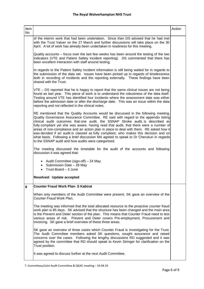| Item<br>No |                                                                                                                                                                                                                                                                                                                                                                                                                                                                                                                                                                                                                                                                                             | Action |
|------------|---------------------------------------------------------------------------------------------------------------------------------------------------------------------------------------------------------------------------------------------------------------------------------------------------------------------------------------------------------------------------------------------------------------------------------------------------------------------------------------------------------------------------------------------------------------------------------------------------------------------------------------------------------------------------------------------|--------|
|            | of the interim work that had been undertaken. Since then DS advised that he had met<br>with the Trust Valuer on the 27 March and further discussions will take place on the 30<br>April. A lot of work has already been undertaken in readiness for this meeting.                                                                                                                                                                                                                                                                                                                                                                                                                           |        |
|            | Quality accounts – focus over the last few weeks has been around the testing of the two<br>indicators (VTE and Patient Safety Incident reporting). DS commented that there has<br>been excellent interaction with staff around testing.                                                                                                                                                                                                                                                                                                                                                                                                                                                     |        |
|            | In regards to the Patient Safety Incident information is still being waited for in regards to<br>the submission of the data set. Issues have been picked up in regards of timelessness<br>both in recording of incidents and the reporting externally. These findings have been<br>shared with the Trust.                                                                                                                                                                                                                                                                                                                                                                                   |        |
|            | VTE – DS reported that he is happy to report that the same clinical issues are not being<br>found as last year. This piece of work is to understand the robustness of the data itself.<br>Testing around VTE has identified four incidents where the assessment date was either<br>before the admission date or after the discharge date. This was an issue within the data<br>reporting and not reflected in the clinical notes.                                                                                                                                                                                                                                                           |        |
|            | RE mentioned that the Quality Accounts would be discussed in the following meeting,<br>Quality Governance Assurance Committee. RE said with regard to the appendix listing<br>clinical audit outcomes that one audit, the SSNAP Stroke audit, is described as<br>fully compliant yet she was aware, having read that audit, that there were a number of<br>areas of non-compliance and an action plan in place to deal with them. RE asked how it<br>was decided if an audit is classed as fully compliant, who makes this decision and on<br>what basis. Following a brief discussion MA agreed to speak to Dr Cherukuri in regards<br>to the SSNAP audit and how audits were categorised. |        |
|            | The meeting discussed the timetable for the audit of the accounts and following<br>discussion it was agreed that:                                                                                                                                                                                                                                                                                                                                                                                                                                                                                                                                                                           |        |
|            | • Audit Committee (sign-off) $-24$ May<br>• Submission Date $-28$ May<br>• Trust Board $-3$ June                                                                                                                                                                                                                                                                                                                                                                                                                                                                                                                                                                                            |        |
|            | Resolved: Update accepted                                                                                                                                                                                                                                                                                                                                                                                                                                                                                                                                                                                                                                                                   |        |
| 8          | <b>Counter Fraud Work Plan- S Kabirat</b>                                                                                                                                                                                                                                                                                                                                                                                                                                                                                                                                                                                                                                                   |        |
|            | When only members of the Audit Committee were present, SK gave an overview of the<br>Counter Fraud Work Plan.                                                                                                                                                                                                                                                                                                                                                                                                                                                                                                                                                                               |        |
|            | The meeting was informed that the total allocated resource to the proactive counter fraud<br>work plan is 85 days. SK advised that the structure has been changed and the main area<br>is the Prevent and Deter section of the plan. This means that Counter Fraud need to test<br>various areas of risk. Prevent and Deter covers Pre-employment, Procurement and<br>Invoicing. SK gave a brief overview of these three areas.                                                                                                                                                                                                                                                             |        |
|            | SK gave an overview of three cases which Counter Fraud is investigating for the Trust.<br>The Audit Committee members asked SK questions, sought assurance and raised<br>concerns over the cases. Following the lengthy discussions RD suggested and it was<br>agreed by the committee that RD should speak to Kevin Stringer for clarification on the<br>Trust position.                                                                                                                                                                                                                                                                                                                   |        |
|            | It was agreed to discuss further at the next Audit Committee.                                                                                                                                                                                                                                                                                                                                                                                                                                                                                                                                                                                                                               |        |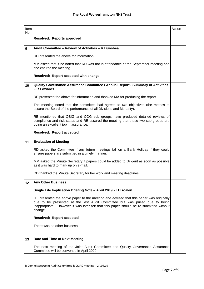| Item<br><b>No</b> |                                                                                                                                                                                                                                                                             | Action |
|-------------------|-----------------------------------------------------------------------------------------------------------------------------------------------------------------------------------------------------------------------------------------------------------------------------|--------|
|                   | Resolved: Reports approved                                                                                                                                                                                                                                                  |        |
| 9                 | Audit Committee - Review of Activities - R Dunshea                                                                                                                                                                                                                          |        |
|                   | RD presented the above for information.                                                                                                                                                                                                                                     |        |
|                   | MM asked that it be noted that RD was not in attendance at the September meeting and<br>she chaired the meeting.                                                                                                                                                            |        |
|                   | Resolved: Report accepted with change                                                                                                                                                                                                                                       |        |
| 10                | <b>Quality Governance Assurance Committee / Annual Report / Summary of Activities</b><br>- R Edwards                                                                                                                                                                        |        |
|                   | RE presented the above for information and thanked MA for producing the report.                                                                                                                                                                                             |        |
|                   | The meeting noted that the committee had agreed to two objectives (the metrics to<br>assure the Board of the performance of all Divisions and Mortality).                                                                                                                   |        |
|                   | RE mentioned that QSIG and COG sub groups have produced detailed reviews of<br>compliance and risk status and RE assured the meeting that these two sub-groups are<br>doing an excellent job in assurance.                                                                  |        |
|                   | <b>Resolved: Report accepted</b>                                                                                                                                                                                                                                            |        |
| 11                | <b>Evaluation of Meeting</b>                                                                                                                                                                                                                                                |        |
|                   | RD asked the Committee if any future meetings fall on a Bank Holiday if they could<br>ensure papers are submitted in a timely manner.                                                                                                                                       |        |
|                   | MM asked the Minute Secretary if papers could be added to Diligent as soon as possible<br>as it was hard to mark up on e-mail.                                                                                                                                              |        |
|                   | RD thanked the Minute Secretary for her work and meeting deadlines.                                                                                                                                                                                                         |        |
| 12                | <b>Any Other Business:</b>                                                                                                                                                                                                                                                  |        |
|                   | Single Life Implication Briefing Note - April 2019 - H Troalen                                                                                                                                                                                                              |        |
|                   | HT presented the above paper to the meeting and advised that this paper was originally<br>due to be presented at the last Audit Committee but was pulled due to being<br>inappropriate. However it was later felt that this paper should be re-submitted without<br>change. |        |
|                   | <b>Resolved: Report accepted</b>                                                                                                                                                                                                                                            |        |
|                   | There was no other business.                                                                                                                                                                                                                                                |        |
| 13                | Date and Time of Next Meeting                                                                                                                                                                                                                                               |        |
|                   | The next meeting of the Joint Audit Committee and Quality Governance Assurance<br>Committee will be convened in April 2020.                                                                                                                                                 |        |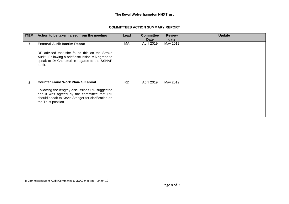#### **COMMITTEES ACTION SUMMARY REPORT**

| <b>ITEM</b>    | Action to be taken raised from the meeting                                                                                                                                                                              | Lead      | <b>Committee</b><br>Date | <b>Review</b><br>date | <b>Update</b> |
|----------------|-------------------------------------------------------------------------------------------------------------------------------------------------------------------------------------------------------------------------|-----------|--------------------------|-----------------------|---------------|
| $\overline{7}$ | <b>External Audit Interim Report</b><br>RE advised that she found this on the Stroke<br>Audit. Following a brief discussion MA agreed to<br>speak to Dr Cherukuri in regards to the SSNAP<br>audit.                     | МA        | April 2019               | May 2019              |               |
| 8              | <b>Counter Fraud Work Plan- S Kabirat</b><br>Following the lengthy discussions RD suggested<br>and it was agreed by the committee that RD<br>should speak to Kevin Stringer for clarification on<br>the Trust position. | <b>RD</b> | <b>April 2019</b>        | May 2019              |               |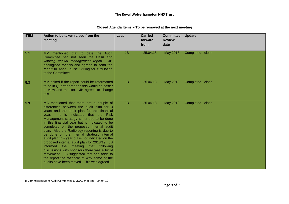| <b>ITEM</b> | Action to be taken raised from the<br>meeting                                                                                                                                                                                                                                                                                                                                                                                                                                                                                                                                                                                                                                                                                                         | Lead      | <b>Carried</b><br>forward<br>from | <b>Committee</b><br><b>Review</b><br>date | <b>Update</b>     |
|-------------|-------------------------------------------------------------------------------------------------------------------------------------------------------------------------------------------------------------------------------------------------------------------------------------------------------------------------------------------------------------------------------------------------------------------------------------------------------------------------------------------------------------------------------------------------------------------------------------------------------------------------------------------------------------------------------------------------------------------------------------------------------|-----------|-----------------------------------|-------------------------------------------|-------------------|
| 5.1         | MM mentioned that to date the Audit<br>Committee had not seen the Cash and<br>working capital management report.<br>JB.<br>apologised for this and agreed to send the<br>report to Anne-Louise Stirling for circulation<br>to the Committee.                                                                                                                                                                                                                                                                                                                                                                                                                                                                                                          | <b>JB</b> | 25.04.18                          | May 2018                                  | Completed - close |
| 5.3         | MM asked if the report could be reformatted<br>to be in Quarter order as this would be easier<br>to view and monitor. JB agreed to change<br>this.                                                                                                                                                                                                                                                                                                                                                                                                                                                                                                                                                                                                    | JB.       | 25.04.18                          | <b>May 2018</b>                           | Completed - close |
| 5.3         | MA mentioned that there are a couple of<br>differences between the audit plan for 3<br>years and the audit plan for this financial<br>It is indicated that the Risk<br>vear.<br>Management strategy is not due to be done<br>in this financial year but is indicated to be<br>completed on the proposed internal audit<br>plan. Also the Radiology reporting is due to<br>be done on the internal strategic internal<br>audit plan this year but is not indicated on the<br>proposed internal audit plan for 2018/19. JB<br>informed the meeting that following<br>discussions with sponsors there was a bit of<br>movement. JB suggested that she adds to<br>the report the rationale of why some of the<br>audits have been moved. This was agreed. | <b>JB</b> | 25.04.18                          | <b>May 2018</b>                           | Completed - close |

#### **Closed Agenda Items – To be removed at the next meeting**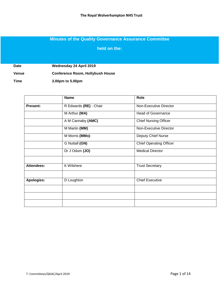# **Minutes of the Quality Governance Assurance Committee**

#### **held on the:**

**Date Wednesday 24 April 2019**

**Venue Conference Room, Hollybush House**

**Time 3.00pm to 5.00pm**

|                   | <b>Name</b>            | Role                           |  |
|-------------------|------------------------|--------------------------------|--|
| Present:          | R Edwards (RE) - Chair | Non-Executive Director         |  |
|                   | M Arthur (MA)          | <b>Head of Governance</b>      |  |
|                   | A M Cannaby (AMC)      | <b>Chief Nursing Officer</b>   |  |
|                   | M Martin (MM)          | Non-Executive Director         |  |
|                   | M Morris (MMo)         | Deputy Chief Nurse             |  |
|                   | G Nuttall (GN)         | <b>Chief Operating Officer</b> |  |
|                   | Dr J Odum (JO)         | <b>Medical Director</b>        |  |
|                   |                        |                                |  |
| <b>Attendees:</b> | <b>K</b> Wilshere      | <b>Trust Secretary</b>         |  |
|                   |                        |                                |  |
| Apologies:        | D Loughton             | <b>Chief Executive</b>         |  |
|                   |                        |                                |  |
|                   |                        |                                |  |
|                   |                        |                                |  |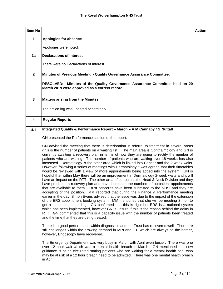| Item No                 |                                                                                                                                                                                                                                                                                                                                                                                                                                                                                                                                                                                                                                                                                                                                                                                                                                                                                                                                                                                                                                                                                                                                                                                                                                                                                                                                                                                                                                                                                                                                                                                                                                                                                      | <b>Action</b> |
|-------------------------|--------------------------------------------------------------------------------------------------------------------------------------------------------------------------------------------------------------------------------------------------------------------------------------------------------------------------------------------------------------------------------------------------------------------------------------------------------------------------------------------------------------------------------------------------------------------------------------------------------------------------------------------------------------------------------------------------------------------------------------------------------------------------------------------------------------------------------------------------------------------------------------------------------------------------------------------------------------------------------------------------------------------------------------------------------------------------------------------------------------------------------------------------------------------------------------------------------------------------------------------------------------------------------------------------------------------------------------------------------------------------------------------------------------------------------------------------------------------------------------------------------------------------------------------------------------------------------------------------------------------------------------------------------------------------------------|---------------|
| $\mathbf{1}$            | <b>Apologies for absence</b>                                                                                                                                                                                                                                                                                                                                                                                                                                                                                                                                                                                                                                                                                                                                                                                                                                                                                                                                                                                                                                                                                                                                                                                                                                                                                                                                                                                                                                                                                                                                                                                                                                                         |               |
|                         | Apologies were noted.                                                                                                                                                                                                                                                                                                                                                                                                                                                                                                                                                                                                                                                                                                                                                                                                                                                                                                                                                                                                                                                                                                                                                                                                                                                                                                                                                                                                                                                                                                                                                                                                                                                                |               |
| 1a                      | <b>Declarations of Interest</b>                                                                                                                                                                                                                                                                                                                                                                                                                                                                                                                                                                                                                                                                                                                                                                                                                                                                                                                                                                                                                                                                                                                                                                                                                                                                                                                                                                                                                                                                                                                                                                                                                                                      |               |
|                         | There were no Declarations of Interest.                                                                                                                                                                                                                                                                                                                                                                                                                                                                                                                                                                                                                                                                                                                                                                                                                                                                                                                                                                                                                                                                                                                                                                                                                                                                                                                                                                                                                                                                                                                                                                                                                                              |               |
| $\mathbf{2}$            | <b>Minutes of Previous Meeting - Quality Governance Assurance Committee:</b>                                                                                                                                                                                                                                                                                                                                                                                                                                                                                                                                                                                                                                                                                                                                                                                                                                                                                                                                                                                                                                                                                                                                                                                                                                                                                                                                                                                                                                                                                                                                                                                                         |               |
|                         | RESOLVED: Minutes of the Quality Governance Assurance Committee held on 20<br>March 2019 were approved as a correct record.                                                                                                                                                                                                                                                                                                                                                                                                                                                                                                                                                                                                                                                                                                                                                                                                                                                                                                                                                                                                                                                                                                                                                                                                                                                                                                                                                                                                                                                                                                                                                          |               |
| $\mathbf{3}$            | <b>Matters arising from the Minutes</b>                                                                                                                                                                                                                                                                                                                                                                                                                                                                                                                                                                                                                                                                                                                                                                                                                                                                                                                                                                                                                                                                                                                                                                                                                                                                                                                                                                                                                                                                                                                                                                                                                                              |               |
|                         | The action log was updated accordingly.                                                                                                                                                                                                                                                                                                                                                                                                                                                                                                                                                                                                                                                                                                                                                                                                                                                                                                                                                                                                                                                                                                                                                                                                                                                                                                                                                                                                                                                                                                                                                                                                                                              |               |
| $\overline{\mathbf{4}}$ | <b>Regular Reports</b>                                                                                                                                                                                                                                                                                                                                                                                                                                                                                                                                                                                                                                                                                                                                                                                                                                                                                                                                                                                                                                                                                                                                                                                                                                                                                                                                                                                                                                                                                                                                                                                                                                                               |               |
| 4.1                     | Integrated Quality & Performance Report - March - A M Cannaby / G Nuttall                                                                                                                                                                                                                                                                                                                                                                                                                                                                                                                                                                                                                                                                                                                                                                                                                                                                                                                                                                                                                                                                                                                                                                                                                                                                                                                                                                                                                                                                                                                                                                                                            |               |
|                         | GN presented the Performance section of the report.                                                                                                                                                                                                                                                                                                                                                                                                                                                                                                                                                                                                                                                                                                                                                                                                                                                                                                                                                                                                                                                                                                                                                                                                                                                                                                                                                                                                                                                                                                                                                                                                                                  |               |
|                         | GN advised the meeting that there is deterioration in referral to treatment in several areas<br>(this is the number of patients on a waiting list). The main area is Ophthalmology and GN is<br>currently awaiting a recovery plan in terms of how they are going to rectify the number of<br>patients who are waiting. The number of patients who are waiting over 18 weeks has also<br>increased. Dermatology is the other area which is linked into Cancer and the 2-week waits.<br>However, following a series of meetings with Dermatology it was agreed that their timetables<br>would be reviewed with a view of more appointments being added into the system. GN is<br>hopeful that within May there will be an improvement in Dermatology 2-week waits and it will<br>have an impact on the RTT. The other area of concern is the Head & Neck Division and they<br>have produced a recovery plan and have increased the numbers of outpatient appointments<br>that are available to them. Trust concerns have been submitted to the NHSI and they are<br>accepting of the position. MM reported that during the Finance & Performance meeting<br>earlier in the day, Simon Evans advised that the issue was due to the impact of the extension<br>of the ERS appointment booking system. MM mentioned that she will be meeting Simon to<br>get a better understanding. GN confirmed that this is right but ERS is a national system<br>which has been implemented, however GN is unsure if this is the reason behind the delay in<br>RTT. GN commented that this is a capacity issue with the number of patients been treated<br>and the time that they are being treated. |               |
|                         | There is a good performance within diagnostics and the Trust has recovered well. There are<br>still challenges within the growing demand in MRI and CT, which are always on the border,<br>however, Endoscopy have recovered.                                                                                                                                                                                                                                                                                                                                                                                                                                                                                                                                                                                                                                                                                                                                                                                                                                                                                                                                                                                                                                                                                                                                                                                                                                                                                                                                                                                                                                                        |               |
|                         | The Emergency Department was very busy in March with April even busier. There was one<br>over 12 hour wait which was a mental health breach in March. GN mentioned that new<br>guidance is being circulated stating patients who are waiting for a mental health bed, who<br>may be at risk of a 12 hour breach need to be admitted. There was one mental health breach<br>in April.                                                                                                                                                                                                                                                                                                                                                                                                                                                                                                                                                                                                                                                                                                                                                                                                                                                                                                                                                                                                                                                                                                                                                                                                                                                                                                 |               |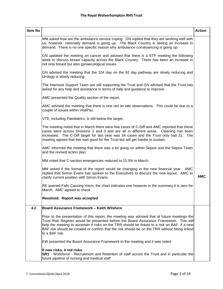| Item No |                                                                                                                                                                                                                                                                                                                                                                                                             | <b>Action</b> |
|---------|-------------------------------------------------------------------------------------------------------------------------------------------------------------------------------------------------------------------------------------------------------------------------------------------------------------------------------------------------------------------------------------------------------------|---------------|
|         | MM asked how are the ambulance service coping. GN replied that they are working well with<br>us, however, nationally demand is going up. The Black Country is seeing an increase in<br>demand. There is no one specific reason why ambulance conveyancing is going up.                                                                                                                                      |               |
|         | GN updated the meeting on cancer and advised that there is a STP meeting the following<br>week to discuss breast capacity across the Black Country. There has been an increase in<br>not only breast but also gynaecological issues.                                                                                                                                                                        |               |
|         | GN advised the meeting that the 104 day on the 62 day pathway are slowly reducing and<br>Urology is slowly reducing.                                                                                                                                                                                                                                                                                        |               |
|         | The Intensive Support Team are still supporting the Trust and GN advised that the Trust has<br>asked for any help and assistance in terms of help and guidance to improve.                                                                                                                                                                                                                                  |               |
|         | AMC presented the Quality section of the report.                                                                                                                                                                                                                                                                                                                                                            |               |
|         | AMC advised the meeting that there is one red on late observations. This could be due to a<br>couple of issues within VitalPac.                                                                                                                                                                                                                                                                             |               |
|         | VTE, including Paediatrics, is still below the target.                                                                                                                                                                                                                                                                                                                                                      |               |
|         | The meeting noted that in March there were five cases of C-Diff and AMC reported that these<br>cases were across Divisions 2 and 3 and are all in different areas. Cleaning has been<br>increased. The C-Diff target for last year was 34 cases and the Trust only had 31. The<br>meeting agreed that this was good for the Trust but will get harder to sustain.                                           |               |
|         | AMC informed the meeting that there was a lot going on within Sepsis and the Sepsis Team<br>and the revised action plan.                                                                                                                                                                                                                                                                                    |               |
|         | MM noted that C-section emergencies reduced to 15.5% in March.                                                                                                                                                                                                                                                                                                                                              |               |
|         | MM asked if the format of the report would be changing in the new financial year. AMC<br>replied that Simon Evans has spoken to the Executives to discuss the new layout. AMC to<br>clarify current position with Simon Evans.                                                                                                                                                                              | <b>AMC</b>    |
|         | RE queried Falls Causing Harm, the chart indicates one however in the summary it is zero for<br>March. AMC agreed to check.                                                                                                                                                                                                                                                                                 |               |
|         | <b>Resolved: Report was accepted</b>                                                                                                                                                                                                                                                                                                                                                                        |               |
| 4.2     | <b>Board Assurance Framework - Keith Wilshere</b>                                                                                                                                                                                                                                                                                                                                                           |               |
|         | Prior to the presentation of this report, the meeting was advised that at future meetings the<br>Trust Risk Register would be presented before the Board Assurance Framework. This will<br>help the meeting to ascertain if risks on the TRR should be linked to a risk on BAF, if a new<br>BAF risk should be created or confirm that the risk should be on the TRR without being linked<br>to a BAF risk. |               |
|         | KW presented the Board Assurance Framework to the meeting and it was noted                                                                                                                                                                                                                                                                                                                                  |               |
|         | 0 new risks, 4 red risks:<br><b>SR1</b> - Workforce - Recruitment and Retention of staff across the Trust and in particular the<br>future pipeline of nursing and medical staff                                                                                                                                                                                                                             |               |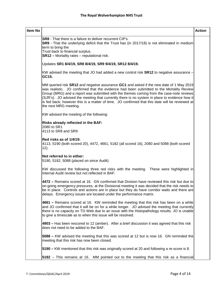| <b>Item No</b> |                                                                                                                                                                                                                                                                                                                                                                                                                                                                                                             | <b>Action</b> |
|----------------|-------------------------------------------------------------------------------------------------------------------------------------------------------------------------------------------------------------------------------------------------------------------------------------------------------------------------------------------------------------------------------------------------------------------------------------------------------------------------------------------------------------|---------------|
|                | <b>SR8</b> - That there is a failure to deliver recurrent CIP's.<br>SR9 - That the underlying deficit that the Trust has (in 2017/18) is not eliminated in medium<br>term to bring the<br>Trust back to financial surplus.<br><b>SR12</b> - Mortality rates - reputational risk.                                                                                                                                                                                                                            |               |
|                | Updates SR1 8/4/19, SR8 8/4/19, SR9 9/4/19, SR12 8/4/19.                                                                                                                                                                                                                                                                                                                                                                                                                                                    |               |
|                | KW advised the meeting that JO had added a new control risk <b>SR12</b> to negative assurance -<br>GC15.                                                                                                                                                                                                                                                                                                                                                                                                    |               |
|                | MM queried risk SR12 and negative assurance GC1 and asked if the new date of 1 May 2019<br>was realistic. JO confirmed that the evidence had been submitted to the Mortality Review<br>Group (MRG) and a report was submitted with the themes coming from the case-note reviews<br>(SJR's). JO advised the meeting that currently there is no system in place to evidence how it<br>is fed back; however this is a matter of time. JO confirmed that this date will be reviewed at<br>the next MRG meeting. |               |
|                | KW advised the meeting of the following:                                                                                                                                                                                                                                                                                                                                                                                                                                                                    |               |
|                | Risks already reflected in the BAF:<br>2080 to SR1<br>4113 to SR8 and SR9                                                                                                                                                                                                                                                                                                                                                                                                                                   |               |
|                | Red risks as of 1/4/19:<br>4113, 5190 (both scored 20), 4472, 4661, 5182 (all scored 16), 2080 and 5088 (both scored<br>12).                                                                                                                                                                                                                                                                                                                                                                                |               |
|                | Not referred to in either:<br>5190, 5182, 5088 (placed on since Audit)                                                                                                                                                                                                                                                                                                                                                                                                                                      |               |
|                | KW discussed the following three red risks with the meeting. These were highlighted in<br>Internal Audit review but not reflected in BAF:                                                                                                                                                                                                                                                                                                                                                                   |               |
|                | 4472 – Remains scored at 16. GN confirmed that Division have reviewed this risk but due to<br>on-going emergency pressures, at the Divisional meeting it was decided that the risk needs to<br>be in place. Controls and actions are in place but they do have corridor waits and there are<br>delays. Emergency issues are located under the performance matrix.                                                                                                                                           |               |
|                | 4661 – Remains scored at 16. KW reminded the meeting that this risk has been on a while<br>and JO confirmed that it will be on for a while longer. JO advised the meeting that currently<br>there is no capacity on TD Web due to an issue with the Histopathology results. JO is unable<br>to give a timescale as to when this issue will be resolved.                                                                                                                                                     |               |
|                | 4903 – Has been rescored to 12 (amber). After a brief discussion it was agreed that this risk<br>does not need to be added to the BAF.                                                                                                                                                                                                                                                                                                                                                                      |               |
|                | 5088 - KW advised the meeting that this was scored at 12 but is now 16. GN reminded the<br>meeting that this risk has now been closed.                                                                                                                                                                                                                                                                                                                                                                      |               |
|                | 5190 - KW mentioned that this risk was originally scored at 20 and following a re-score is 8.                                                                                                                                                                                                                                                                                                                                                                                                               |               |
|                | 5182 – This remains at 16. MM pointed out to the meeting that this risk as a financial                                                                                                                                                                                                                                                                                                                                                                                                                      |               |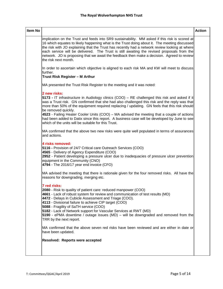| Item No |                                                                                                                                                                                                                                                                                                                                                                                                                                                                                                                                                                                          | <b>Action</b> |
|---------|------------------------------------------------------------------------------------------------------------------------------------------------------------------------------------------------------------------------------------------------------------------------------------------------------------------------------------------------------------------------------------------------------------------------------------------------------------------------------------------------------------------------------------------------------------------------------------------|---------------|
|         | implication on the Trust and feeds into SR9 sustainability. MM asked if this risk is scored at<br>16 which equates to likely happening what is the Trust doing about it. The meeting discussed<br>the risk with JO explaining that the Trust has recently had a network review looking at where<br>each service will be delivered. The Trust is still awaiting the revised proposals from the<br>network. JO is proposing that we await the feedback then make a decision. Agreed to review<br>the risk next month.                                                                      |               |
|         | In order to ascertain which objective is aligned to each risk MA and KW will meet to discuss<br>further.<br>Trust Risk Register - M Arthur                                                                                                                                                                                                                                                                                                                                                                                                                                               |               |
|         | MA presented the Trust Risk Register to the meeting and it was noted:                                                                                                                                                                                                                                                                                                                                                                                                                                                                                                                    |               |
|         | 2 new risks:<br>5173 - IT infrastructure in Audiology clinics (COO) – RE challenged this risk and asked if it<br>was a Trust risk. GN confirmed that she had also challenged this risk and the reply was that<br>more than 50% of the equipment required replacing / updating. GN feels that this risk should<br>be removed quickly.<br>4523 - Failing Heater Cooler Units (COO) - MA advised the meeting that a couple of actions<br>had been added to Datix since this report. A business case will be developed by June to see<br>which of the units will be suitable for this Trust. |               |
|         | MA confirmed that the above two new risks were quite well populated in terms of assurances<br>and actions.                                                                                                                                                                                                                                                                                                                                                                                                                                                                               |               |
|         | 4 risks removed:<br>5116 - Provision of 24/7 Critical care Outreach Services (COO)<br>4565 - Delivery of Agency Expenditure (COO)<br>2952 - Patient developing a pressure ulcer due to inadequacies of pressure ulcer prevention<br>equipment in the Community (CNO)<br>4794 - The 2016/17 year end invoice (CFO)                                                                                                                                                                                                                                                                        |               |
|         | MA advised the meeting that there is rationale given for the four removed risks. All have the<br>reasons for downgrading, merging etc.                                                                                                                                                                                                                                                                                                                                                                                                                                                   |               |
|         | 7 red risks:<br>2080 - Risk to quality of patient care: reduced manpower (COO)<br>4661 - Lack of robust system for review and communication of test results (MD)<br>4472 - Delays in Cubicle Assessment and Triage (COO).<br>4113 - Divisional failure to achieve CIP target (COO)<br>5088 - Fragility of SaTH service (COO)<br>5182 - Lack of Network support for Vascular Services at RWT (MD)<br>5190 - ePMA downtime / outage issues (MD) - will be downgraded and removed from the<br>TRR by the next report.                                                                       |               |
|         | MA confirmed that the above seven red risks have been reviewed and are either in date or<br>have been updated.                                                                                                                                                                                                                                                                                                                                                                                                                                                                           |               |
|         | Resolved: Reports were accepted                                                                                                                                                                                                                                                                                                                                                                                                                                                                                                                                                          |               |
|         |                                                                                                                                                                                                                                                                                                                                                                                                                                                                                                                                                                                          |               |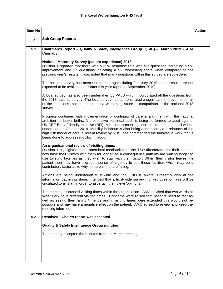| Item No |                                                                                                                                                                                                                                                                                                                                                                                                                                                                                                                                         | <b>Action</b> |
|---------|-----------------------------------------------------------------------------------------------------------------------------------------------------------------------------------------------------------------------------------------------------------------------------------------------------------------------------------------------------------------------------------------------------------------------------------------------------------------------------------------------------------------------------------------|---------------|
| 5       | <b>Sub Group Reports</b>                                                                                                                                                                                                                                                                                                                                                                                                                                                                                                                |               |
| 5.1     | Chairman's Report - Quality & Safety Intelligence Group (QSIG) - March 2019 - A M<br>Cannaby                                                                                                                                                                                                                                                                                                                                                                                                                                            |               |
|         | <b>National Maternity Survey (patient experience) 2018:</b><br>Division 1 reported that there was a 35% response rate with five questions indicating a 5%<br>improvement and 17 questions indicating a 5% worsening score when compared to the<br>previous year's results. It was noted that many questions within this survey are subjective.                                                                                                                                                                                          |               |
|         | The national survey has been undertaken again during February 2019, these results are not<br>expected to be available until later this year (approx. September 2019).                                                                                                                                                                                                                                                                                                                                                                   |               |
|         | A local survey has also been undertaken by PALS which incorporated all the questions from<br>the 2018 national survey. The local survey has demonstrated a significant improvement in all<br>of the questions that demonstrated a worsening score in comparison to the national 2018<br>survey.                                                                                                                                                                                                                                         |               |
|         | Progress continues with implementation of continuity of care in alignment with the national<br>ambition for better births. A prospective continual audit is being performed to audit against<br>UNICEF Baby Friendly Initiative (BFI). A re-assessment against the national standard will be<br>undertaken in October 2019. Mobility in labour is also being addressed via a relaunch of the<br>high risk model of care; a recent review by NHSI has commended the innovative work that is<br>being done to address mobility in labour. |               |
|         | An organisational review of visiting times:<br>Division 1 highlighted some anecdotal feedback from the T&O directorate that their patients<br>now have their visitors with them for longer; as a consequence patients are waiting longer to<br>use toileting facilities as they wish to stay with their visitor. When their visitor leaves the<br>patient then may have a greater sense of urgency to use these facilities which may be a<br>contributory factor as to why some patients are falling.                                   |               |
|         | Actions are being undertaken trust-wide and the CNO is aware. Presently only at the<br>information gathering stage. Intended that a trust-wide survey monkey questionnaire will be<br>circulated to all staff in order to ascertain their views/opinions.                                                                                                                                                                                                                                                                               |               |
|         | The meeting discussed visiting times within the organisation. AMC advised that two wards at<br>West Park have different visiting times. Concerns were raised that patients need to rest as<br>well as seeing their family / friends and if visiting times were extended this would not be<br>possible and may have a negative effect on the patient. AMC agreed to review and keep the<br>meeting informed.                                                                                                                             |               |
| 5.2     | Resolved: Chair's report was accepted                                                                                                                                                                                                                                                                                                                                                                                                                                                                                                   |               |
|         | <b>Quality &amp; Safety Intelligence Group minutes</b>                                                                                                                                                                                                                                                                                                                                                                                                                                                                                  |               |
|         | The meeting accepted the minutes from the March meeting.                                                                                                                                                                                                                                                                                                                                                                                                                                                                                |               |
|         |                                                                                                                                                                                                                                                                                                                                                                                                                                                                                                                                         |               |
|         |                                                                                                                                                                                                                                                                                                                                                                                                                                                                                                                                         |               |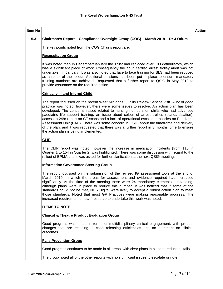| Item No |                                                                                                                                                                                                                                                                                                                                                                                                                                                                                                                                                                                                                                                                                                                      | <b>Action</b> |
|---------|----------------------------------------------------------------------------------------------------------------------------------------------------------------------------------------------------------------------------------------------------------------------------------------------------------------------------------------------------------------------------------------------------------------------------------------------------------------------------------------------------------------------------------------------------------------------------------------------------------------------------------------------------------------------------------------------------------------------|---------------|
| 5.3     | Chairman's Report - Compliance Oversight Group (COG) - March 2019 - Dr J Odum                                                                                                                                                                                                                                                                                                                                                                                                                                                                                                                                                                                                                                        |               |
|         | The key points noted from the COG Chair's report are:                                                                                                                                                                                                                                                                                                                                                                                                                                                                                                                                                                                                                                                                |               |
|         | <b>Resuscitation Group</b>                                                                                                                                                                                                                                                                                                                                                                                                                                                                                                                                                                                                                                                                                           |               |
|         | It was noted than in December/January the Trust had replaced over 180 defibrillators, which<br>was a significant piece of work. Consequently the adult cardiac arrest trolley audit was not<br>undertaken in January. It was also noted that face to face training for BLS had been reduced<br>as a result of the rollout. Additional sessions had been put in place to ensure mandatory<br>training numbers are achieved. Requested that a further report to QSIG in May 2019 to<br>provide assurance on the required action.                                                                                                                                                                                       |               |
|         | <b>Critically III and Injured Child</b>                                                                                                                                                                                                                                                                                                                                                                                                                                                                                                                                                                                                                                                                              |               |
|         | The report focussed on the recent West Midlands Quality Review Service visit. A lot of good<br>practice was noted, however, there were some issues to resolve. An action plan has been<br>developed. The concerns raised related to nursing numbers on shifts who had advanced<br>paediatric life support training, an issue about colour of arrest trollies (standardisation),<br>access to 24hr report on CT scans and a lack of operational escalation policies on Paediatric<br>Assessment Unit (PAU). There was some concern in QSIG about the timeframe and delivery<br>of the plan, and it was requested that there was a further report in 3 months' time to ensure<br>the action plan is being implemented. |               |
|         | <b>CLIP</b>                                                                                                                                                                                                                                                                                                                                                                                                                                                                                                                                                                                                                                                                                                          |               |
|         | The CLIP report was noted, however the increase in medication incidents (from 115 in<br>Quarter 1 to 154 in Quarter 2) was highlighted. There was some discussion with regard to the<br>rollout of EPMA and it was asked for further clarification at the next QSIG meeting.                                                                                                                                                                                                                                                                                                                                                                                                                                         |               |
|         | <b>Information Governance Steering Group</b>                                                                                                                                                                                                                                                                                                                                                                                                                                                                                                                                                                                                                                                                         |               |
|         | The report focussed on the submission of the revised IG assessment tools at the end of<br>March 2019, in which the areas for assessment and evidence required had increased<br>significantly. At the time of the meeting there were 24 mandatory elements outstanding,<br>although plans were in place to reduce this number. It was noticed that if some of the<br>standards could not be met, NHS Digital were likely to accept a robust action plan to meet<br>those standards. Noted that most GP Practices were making reasonable progress. The<br>increased requirement on staff resource to undertake this work was noted.                                                                                    |               |
|         | <b>ITEMS TO NOTE</b>                                                                                                                                                                                                                                                                                                                                                                                                                                                                                                                                                                                                                                                                                                 |               |
|         | <b>Clinical &amp; Theatre Product Evaluation Group</b>                                                                                                                                                                                                                                                                                                                                                                                                                                                                                                                                                                                                                                                               |               |
|         | Good progress was noted in terms of multidisciplinary clinical engagement, with product<br>changes that are resulting in cash releasing efficiencies and no detriment on clinical<br>outcomes.                                                                                                                                                                                                                                                                                                                                                                                                                                                                                                                       |               |
|         | <b>Falls Prevention Group</b>                                                                                                                                                                                                                                                                                                                                                                                                                                                                                                                                                                                                                                                                                        |               |
|         | Good progress continues to be made in all areas, with clear plans in place to reduce all falls.                                                                                                                                                                                                                                                                                                                                                                                                                                                                                                                                                                                                                      |               |
|         | The group noted all of the other reports with no significant issues to escalate or note.                                                                                                                                                                                                                                                                                                                                                                                                                                                                                                                                                                                                                             |               |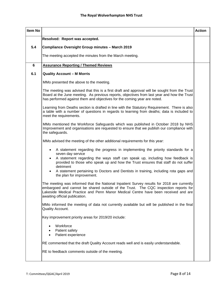| Item No |                                                                                                                                                                                                                                                                                                           | <b>Action</b> |
|---------|-----------------------------------------------------------------------------------------------------------------------------------------------------------------------------------------------------------------------------------------------------------------------------------------------------------|---------------|
|         | Resolved: Report was accepted.                                                                                                                                                                                                                                                                            |               |
| 5.4     | <b>Compliance Oversight Group minutes - March 2019</b>                                                                                                                                                                                                                                                    |               |
|         | The meeting accepted the minutes from the March meeting.                                                                                                                                                                                                                                                  |               |
| 6       | <b>Assurance Reporting / Themed Reviews</b>                                                                                                                                                                                                                                                               |               |
| 6.1     | <b>Quality Account - M Morris</b>                                                                                                                                                                                                                                                                         |               |
|         | MMo presented the above to the meeting.                                                                                                                                                                                                                                                                   |               |
|         | The meeting was advised that this is a first draft and approval will be sought from the Trust<br>Board at the June meeting. As previous reports, objectives from last year and how the Trust<br>has performed against them and objectives for the coming year are noted.                                  |               |
|         | Learning from Deaths section is drafted in line with the Statutory Requirement. There is also<br>a table with a number of questions in regards to learning from deaths; data is included to<br>meet the requirements.                                                                                     |               |
|         | MMo mentioned the Workforce Safeguards which was published in October 2018 by NHS<br>Improvement and organisations are requested to ensure that we publish our compliance with<br>the safeguards.                                                                                                         |               |
|         | MMo advised the meeting of the other additional requirements for this year:                                                                                                                                                                                                                               |               |
|         | A statement regarding the progress in implementing the priority standards for a<br>$\bullet$<br>seven day service                                                                                                                                                                                         |               |
|         | A statement regarding the ways staff can speak up, including how feedback is<br>$\bullet$<br>provided to those who speak up and how the Trust ensures that staff do not suffer<br>detriment                                                                                                               |               |
|         | A statement pertaining to Doctors and Dentists in training, including rota gaps and<br>$\bullet$<br>the plan for improvement.                                                                                                                                                                             |               |
|         | The meeting was informed that the National Inpatient Survey results for 2018 are currently<br>embargoed and cannot be shared outside of the Trust. The CQC inspection reports for<br>Lakeside Medical Practice and Penn Manor Medical Centre have been received and are<br>awaiting official publication. |               |
|         | MMo informed the meeting of data not currently available but will be published in the final<br>Quality Account.                                                                                                                                                                                           |               |
|         | Key improvement priority areas for 2019/20 include:                                                                                                                                                                                                                                                       |               |
|         | Workforce<br>Patient safety<br>$\bullet$<br>Patient experience<br>$\bullet$                                                                                                                                                                                                                               |               |
|         | RE commented that the draft Quality Account reads well and is easily understandable.                                                                                                                                                                                                                      |               |
|         | RE to feedback comments outside of the meeting.                                                                                                                                                                                                                                                           |               |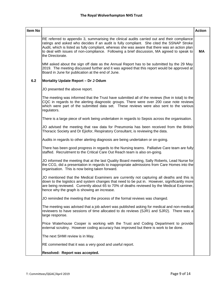| Item No |                                                                                                                                                                                                                                                                                                                                                                                                             | <b>Action</b> |
|---------|-------------------------------------------------------------------------------------------------------------------------------------------------------------------------------------------------------------------------------------------------------------------------------------------------------------------------------------------------------------------------------------------------------------|---------------|
|         | RE referred to appendix 3, summarising the clinical audits carried out and their compliance<br>ratings and asked who decides if an audit is fully compliant. She cited the SSNAP Stroke<br>Audit, which is listed as fully compliant, whereas she was aware that there was an action plan<br>to deal with issues of non-compliance. Following a brief discussion, MA agreed to speak to<br>the Directorate. | МA            |
|         | MM asked about the sign off date as the Annual Report has to be submitted by the 29 May<br>2019. The meeting discussed further and it was agreed that this report would be approved at<br>Board in June for publication at the end of June.                                                                                                                                                                 |               |
| 6.2     | Mortality Update Report - Dr J Odum                                                                                                                                                                                                                                                                                                                                                                         |               |
|         | JO presented the above report.                                                                                                                                                                                                                                                                                                                                                                              |               |
|         | The meeting was informed that the Trust have submitted all of the reviews (five in total) to the<br>CQC in regards to the alerting diagnostic groups. There were over 200 case note reviews<br>which were part of the submitted data set. These reviews were also sent to the various<br>regulators.                                                                                                        |               |
|         | There is a large piece of work being undertaken in regards to Sepsis across the organisation.                                                                                                                                                                                                                                                                                                               |               |
|         | JO advised the meeting that raw data for Pneumonia has been received from the British<br>Thoracic Society and Dr Ejiofor, Respiratory Consultant, is reviewing the data.                                                                                                                                                                                                                                    |               |
|         | Audits in regards to other alerting diagnosis are being undertaken or on-going.                                                                                                                                                                                                                                                                                                                             |               |
|         | There has been good progress in regards to the Nursing teams. Palliative Care team are fully<br>staffed. Recruitment to the Critical Care Out Reach team is also on-going.                                                                                                                                                                                                                                  |               |
|         | JO informed the meeting that at the last Quality Board meeting, Sally Roberts, Lead Nurse for<br>the CCG, did a presentation in regards to inappropriate admissions from Care Homes into the<br>organisation. This is now being taken forward.                                                                                                                                                              |               |
|         | JO mentioned that the Medical Examiners are currently not capturing all deaths and this is<br>down to the logistics and system changes that need to be put in. However, significantly more<br>are being reviewed. Currently about 65 to 70% of deaths reviewed by the Medical Examiner,<br>hence why the graph is showing an increase.                                                                      |               |
|         | JO reminded the meeting that the process of the formal reviews was changed.                                                                                                                                                                                                                                                                                                                                 |               |
|         | The meeting was advised that a job advert was published asking for medical and non-medical<br>reviewers to have sessions of time allocated to do reviews (SJR1 and SJR2). There was a<br>large response.                                                                                                                                                                                                    |               |
|         | Price Waterhouse Cooper is working with the Trust and Coding Department to provide<br>external scrutiny. However coding accuracy has improved but there is work to be done.                                                                                                                                                                                                                                 |               |
|         | The next SHMI review is in May.                                                                                                                                                                                                                                                                                                                                                                             |               |
|         | RE commented that it was a very good and useful report.                                                                                                                                                                                                                                                                                                                                                     |               |
|         | Resolved: Report was accepted.                                                                                                                                                                                                                                                                                                                                                                              |               |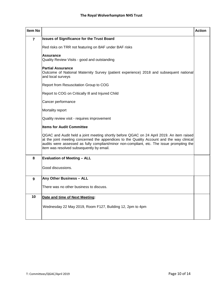| <b>Item No</b> |                                                                                                                                                                                                                                                                                                                                | <b>Action</b> |
|----------------|--------------------------------------------------------------------------------------------------------------------------------------------------------------------------------------------------------------------------------------------------------------------------------------------------------------------------------|---------------|
| $\overline{7}$ | <b>Issues of Significance for the Trust Board</b>                                                                                                                                                                                                                                                                              |               |
|                | Red risks on TRR not featuring on BAF under BAF risks                                                                                                                                                                                                                                                                          |               |
|                | <b>Assurance</b><br>Quality Review Visits - good and outstanding                                                                                                                                                                                                                                                               |               |
|                | <b>Partial Assurance</b><br>Outcome of National Maternity Survey (patient experience) 2018 and subsequent national<br>and local surveys                                                                                                                                                                                        |               |
|                | Report from Resuscitation Group to COG                                                                                                                                                                                                                                                                                         |               |
|                | Report to COG on Critically III and Injured Child                                                                                                                                                                                                                                                                              |               |
|                | Cancer performance                                                                                                                                                                                                                                                                                                             |               |
|                | Mortality report                                                                                                                                                                                                                                                                                                               |               |
|                | Quality review visit - requires improvement                                                                                                                                                                                                                                                                                    |               |
|                | <b>Items for Audit Committee</b>                                                                                                                                                                                                                                                                                               |               |
|                | QGAC and Audit held a joint meeting shortly before QGAC on 24 April 2019. An item raised<br>at the joint meeting concerned the appendices to the Quality Account and the way clinical<br>audits were assessed as fully compliant/minor non-compliant, etc. The issue prompting the<br>item was resolved subsequently by email. |               |
| 8              | <b>Evaluation of Meeting - ALL</b>                                                                                                                                                                                                                                                                                             |               |
|                | Good discussions.                                                                                                                                                                                                                                                                                                              |               |
| 9              | Any Other Business - ALL                                                                                                                                                                                                                                                                                                       |               |
|                | There was no other business to discuss.                                                                                                                                                                                                                                                                                        |               |
| 10             | Date and time of Next Meeting:                                                                                                                                                                                                                                                                                                 |               |
|                | Wednesday 22 May 2019, Room F127, Building 12, 2pm to 4pm                                                                                                                                                                                                                                                                      |               |
|                |                                                                                                                                                                                                                                                                                                                                |               |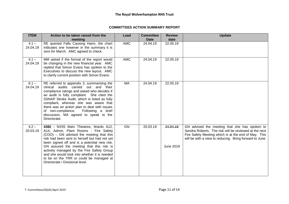#### **COMMITTEES ACTION SUMMARY REPORT**

| <b>ITEM</b>         | Action to be taken raised from the                                                                                                                                                                                                                                                                                                                                                                                                                 | Lead       | <b>Committee</b> | <b>Review</b>         | <b>Update</b>                                                                                                                                                                                                            |
|---------------------|----------------------------------------------------------------------------------------------------------------------------------------------------------------------------------------------------------------------------------------------------------------------------------------------------------------------------------------------------------------------------------------------------------------------------------------------------|------------|------------------|-----------------------|--------------------------------------------------------------------------------------------------------------------------------------------------------------------------------------------------------------------------|
|                     | meeting                                                                                                                                                                                                                                                                                                                                                                                                                                            |            | <b>Date</b>      | date                  |                                                                                                                                                                                                                          |
| $4.1 -$<br>24.04.19 | RE queried Falls Causing Harm, the chart<br>indicates one however in the summary it is<br>zero for March. AMC agreed to check.                                                                                                                                                                                                                                                                                                                     | <b>AMC</b> | 24.04.19         | 22.05.19              |                                                                                                                                                                                                                          |
| $4.1 -$<br>24.04.19 | MM asked if the format of the report would<br>be changing in the new financial year. AMC<br>replied that Simon Evans has spoken to the<br>Executives to discuss the new layout. AMC<br>to clarify current position with Simon Evans.                                                                                                                                                                                                               | <b>AMC</b> | 24.04.19         | 22.05.19              |                                                                                                                                                                                                                          |
| $6.1 -$<br>24.04.19 | RE referred to appendix 3, summarising the<br>clinical audits carried out and their<br>compliance ratings and asked who decides if<br>an audit is fully compliant. She cited the<br>SSNAP Stroke Audit, which is listed as fully<br>compliant, whereas she was aware that<br>there was an action plan to deal with issues<br>of non-compliance.<br>Following a brief<br>discussion, MA agreed to speak to the<br>Directorate.                      | MA         | 24.04.19         | 22.05.19              |                                                                                                                                                                                                                          |
| $4.2 -$<br>20.03.19 | 4382 - NX55 Main Theatres, Wards A12,<br>A14, Admin, Plant Rooms - Fire Safety<br>(COO) – GN advised the meeting that this<br>risk had been sent to herself but had not yet<br>been signed off and is a potential new risk.<br>GN assured the meeting that this risk is<br>actively managed by the Fire Safety Group<br>and she would look into whether it is needed<br>to be on the TRR or could be managed at<br>Directorate / Divisional level. | GN         | 20.03.19         | 24.04.19<br>June 2019 | GN advised the meeting that she has spoken to<br>Sandra Roberts. The risk will be reviewed at the next<br>Fire Safety Meeting which is at the end of May. This<br>will be with a view to reducing. Bring forward to June |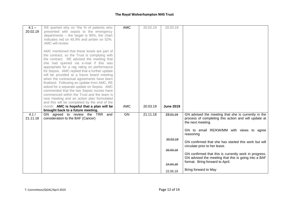#### **The Royal Wolverhampton NHS Trust**

| $4.1 -$  | RE queried why on "the % of patients who                                                  | <b>AMC</b> | 20.02.19 | 20.03.19         |                                                                                         |
|----------|-------------------------------------------------------------------------------------------|------------|----------|------------------|-----------------------------------------------------------------------------------------|
| 20.02.19 | presented with sepsis to the emergency                                                    |            |          |                  |                                                                                         |
|          | departments $-$ the target is 90%, the chart                                              |            |          |                  |                                                                                         |
|          | indicates red on 45.9% and amber on 52%.                                                  |            |          |                  |                                                                                         |
|          | AMC will review                                                                           |            |          |                  |                                                                                         |
|          | AMC mentioned that these levels are part of                                               |            |          |                  |                                                                                         |
|          | the contract, so the Trust is complying with                                              |            |          |                  |                                                                                         |
|          | the contract. RE advised the meeting that                                                 |            |          |                  |                                                                                         |
|          | she had queried via e-mail if this was<br>appropriate for a rag rating on performance     |            |          |                  |                                                                                         |
|          | for Sepsis. AMC replied that a further update                                             |            |          |                  |                                                                                         |
|          | will be provided at a future board meeting                                                |            |          |                  |                                                                                         |
|          | when the contractual agreements have been                                                 |            |          |                  |                                                                                         |
|          | finalised. Following an update from AMC, RE<br>asked for a separate update on Sepsis. AMC |            |          |                  |                                                                                         |
|          | commented that the two Sepsis nurses have                                                 |            |          |                  |                                                                                         |
|          | commenced within the Trust and the team is                                                |            |          |                  |                                                                                         |
|          | now meeting and an action plan formulated                                                 |            |          |                  |                                                                                         |
|          | and this will be completed by the end of the                                              |            |          |                  |                                                                                         |
|          | month. AMC is hopeful that a plan will be<br>brought back to a future meeting.            | <b>AMC</b> | 20.03.19 | <b>June 2019</b> |                                                                                         |
| 4.1/     | GN agreed to review the TRR<br>and                                                        | GN         | 21.11.18 | 23.01.19         | GN advised the meeting that she is currently in the                                     |
| 21.11.18 | consideration to the BAF (Cancer)                                                         |            |          |                  | process of completing this action and will update at<br>the next meeting.               |
|          |                                                                                           |            |          |                  | GN to email RE/KW/MM with views to agree<br>reasoning                                   |
|          |                                                                                           |            |          | 20.02.19         | GN confirmed that she has started this work but will                                    |
|          |                                                                                           |            |          |                  | circulate prior to her leave.                                                           |
|          |                                                                                           |            |          | 20.03.19         |                                                                                         |
|          |                                                                                           |            |          |                  | GN confirmed that this is currently work in progress.                                   |
|          |                                                                                           |            |          |                  | GN advised the meeting that this is going into a BAF<br>format. Bring forward to April. |
|          |                                                                                           |            |          | 24.04.19         |                                                                                         |
|          |                                                                                           |            |          | 22.05.19         | Bring forward to May                                                                    |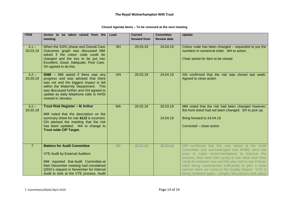| Closed Agenda Items - To be removed at the next meeting |  |  |
|---------------------------------------------------------|--|--|
|---------------------------------------------------------|--|--|

| <b>ITEM</b>         | Action to be taken raised from the                                                                                                                                                                                                                                    | Lead      | <b>Carried</b> | <b>Committee</b>     | <b>Update</b>                                                                                                                                                                                                                                                                                                                                                                                                                       |
|---------------------|-----------------------------------------------------------------------------------------------------------------------------------------------------------------------------------------------------------------------------------------------------------------------|-----------|----------------|----------------------|-------------------------------------------------------------------------------------------------------------------------------------------------------------------------------------------------------------------------------------------------------------------------------------------------------------------------------------------------------------------------------------------------------------------------------------|
|                     | meeting                                                                                                                                                                                                                                                               |           | forward from   | <b>Review date</b>   |                                                                                                                                                                                                                                                                                                                                                                                                                                     |
| $4.1 -$<br>20.03.19 | When the SJR1 phase and Overall Care<br>Outcomes graph was discussed MM<br>asked if the colour code could be<br>changed and the key to be put into<br>Excellent, Good, Adequate, Poor Care.<br>SH agreed to do this.                                                  | <b>SH</b> | 20.03.19       | 24.04.19             | Colour code has been changed – requested to put the<br>numbers in numerical order. MA to action.<br>Chair asked for item to be closed                                                                                                                                                                                                                                                                                               |
| $4.2 -$<br>20.03.19 | 5088 - MM asked if there was any<br>progress and was advised that there<br>was not and the biggest impact is felt<br>within the Maternity Department. This<br>was discussed further and GN agreed to<br>update as daily telephone calls to NHSI<br>ceased in January. | <b>GN</b> | 20.03.19       | 24.04.19             | GN confirmed that the risk was closed last week.<br>Agreed to close action                                                                                                                                                                                                                                                                                                                                                          |
| $4.2 -$<br>20.02.19 | Trust Risk Register - M Arthur<br>MM noted that the description on the<br>summary sheet for risk 4113 is incorrect.<br>GN advised the meeting that the risk<br>has been updated. MA to change to<br><b>Trust wide CIP Target.</b>                                     | <b>MA</b> | 20.02.19       | 20.03.19<br>24.04.19 | MM noted that the risk had been changed however;<br>the front sheet had not been changed. SH to pick up.<br>Bring forward to 24.04.19<br>Corrected – close action                                                                                                                                                                                                                                                                   |
| 7                   | <b>Matters for Audit Committee</b><br><b>VTE Audit by External Auditors</b><br>MM reported that Audit Committee at<br>their December meeting had considered<br>QSIG's request in November for Internal<br>Audit to look at the VTE process. Audit                     | <b>RE</b> | 23.01.19       | 20.02.19             | MM confirmed that this was raised at the Audit<br>Committee and acknowledged that KPMG were the<br>ones to make recommendations to improve the<br>process, they were then going to see what work they<br>could do between now and the year end to see if those<br>were being implemented sufficiently to give a clear<br>opinion when we come to the Quality Report. VTE is<br>being reviewed again. Lengthy discussions took place |